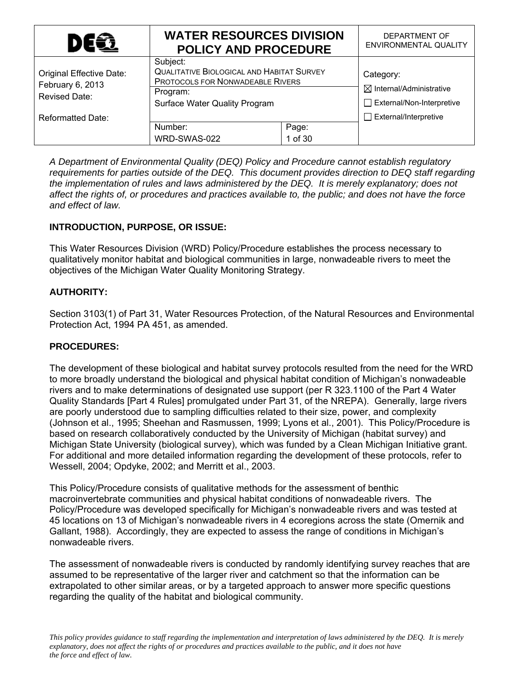| <b>DEG</b>                                                    | <b>WATER RESOURCES DIVISION</b><br><b>POLICY AND PROCEDURE</b>                                                                                | DEPARTMENT OF<br>ENVIRONMENTAL QUALITY                                               |
|---------------------------------------------------------------|-----------------------------------------------------------------------------------------------------------------------------------------------|--------------------------------------------------------------------------------------|
| Original Effective Date:<br>February 6, 2013<br>Revised Date: | Subject:<br><b>QUALITATIVE BIOLOGICAL AND HABITAT SURVEY</b><br>PROTOCOLS FOR NONWADEABLE RIVERS<br>Program:<br>Surface Water Quality Program | Category:<br>$\boxtimes$ Internal/Administrative<br>$\Box$ External/Non-Interpretive |
| <b>Reformatted Date:</b>                                      | Number:                                                                                                                                       | $\Box$ External/Interpretive                                                         |
|                                                               |                                                                                                                                               |                                                                                      |

*A Department of Environmental Quality (DEQ) Policy and Procedure cannot establish regulatory requirements for parties outside of the DEQ. This document provides direction to DEQ staff regarding the implementation of rules and laws administered by the DEQ. It is merely explanatory; does not affect the rights of, or procedures and practices available to, the public; and does not have the force and effect of law.* 

# **INTRODUCTION, PURPOSE, OR ISSUE:**

This Water Resources Division (WRD) Policy/Procedure establishes the process necessary to qualitatively monitor habitat and biological communities in large, nonwadeable rivers to meet the objectives of the Michigan Water Quality Monitoring Strategy.

# **AUTHORITY:**

Section 3103(1) of Part 31, Water Resources Protection, of the Natural Resources and Environmental Protection Act, 1994 PA 451, as amended.

### **PROCEDURES:**

The development of these biological and habitat survey protocols resulted from the need for the WRD to more broadly understand the biological and physical habitat condition of Michigan's nonwadeable rivers and to make determinations of designated use support (per R 323.1100 of the Part 4 Water Quality Standards [Part 4 Rules] promulgated under Part 31, of the NREPA). Generally, large rivers are poorly understood due to sampling difficulties related to their size, power, and complexity (Johnson et al., 1995; Sheehan and Rasmussen, 1999; Lyons et al., 2001). This Policy/Procedure is based on research collaboratively conducted by the University of Michigan (habitat survey) and Michigan State University (biological survey), which was funded by a Clean Michigan Initiative grant. For additional and more detailed information regarding the development of these protocols, refer to Wessell, 2004; Opdyke, 2002; and Merritt et al., 2003.

This Policy/Procedure consists of qualitative methods for the assessment of benthic macroinvertebrate communities and physical habitat conditions of nonwadeable rivers. The Policy/Procedure was developed specifically for Michigan's nonwadeable rivers and was tested at 45 locations on 13 of Michigan's nonwadeable rivers in 4 ecoregions across the state (Omernik and Gallant, 1988). Accordingly, they are expected to assess the range of conditions in Michigan's nonwadeable rivers.

The assessment of nonwadeable rivers is conducted by randomly identifying survey reaches that are assumed to be representative of the larger river and catchment so that the information can be extrapolated to other similar areas, or by a targeted approach to answer more specific questions regarding the quality of the habitat and biological community.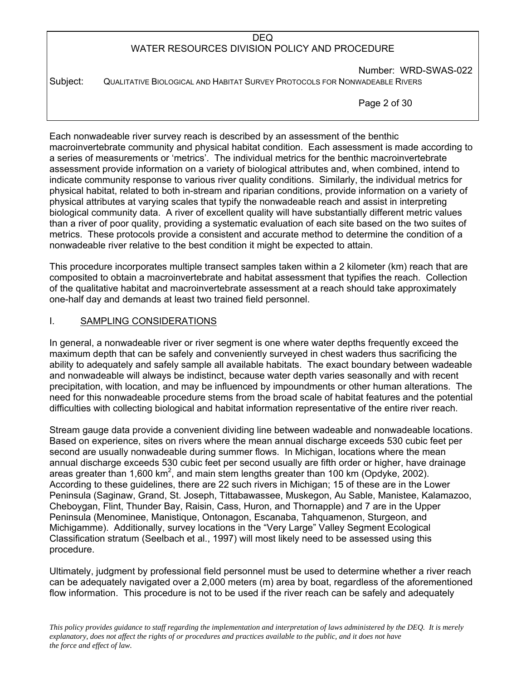Number: WRD-SWAS-022 Subject: QUALITATIVE BIOLOGICAL AND HABITAT SURVEY PROTOCOLS FOR NONWADEABLE RIVERS

Page 2 of 30

Each nonwadeable river survey reach is described by an assessment of the benthic macroinvertebrate community and physical habitat condition. Each assessment is made according to a series of measurements or 'metrics'. The individual metrics for the benthic macroinvertebrate assessment provide information on a variety of biological attributes and, when combined, intend to indicate community response to various river quality conditions. Similarly, the individual metrics for physical habitat, related to both in-stream and riparian conditions, provide information on a variety of physical attributes at varying scales that typify the nonwadeable reach and assist in interpreting biological community data. A river of excellent quality will have substantially different metric values than a river of poor quality, providing a systematic evaluation of each site based on the two suites of metrics. These protocols provide a consistent and accurate method to determine the condition of a nonwadeable river relative to the best condition it might be expected to attain.

This procedure incorporates multiple transect samples taken within a 2 kilometer (km) reach that are composited to obtain a macroinvertebrate and habitat assessment that typifies the reach. Collection of the qualitative habitat and macroinvertebrate assessment at a reach should take approximately one-half day and demands at least two trained field personnel.

### I. SAMPLING CONSIDERATIONS

In general, a nonwadeable river or river segment is one where water depths frequently exceed the maximum depth that can be safely and conveniently surveyed in chest waders thus sacrificing the ability to adequately and safely sample all available habitats. The exact boundary between wadeable and nonwadeable will always be indistinct, because water depth varies seasonally and with recent precipitation, with location, and may be influenced by impoundments or other human alterations. The need for this nonwadeable procedure stems from the broad scale of habitat features and the potential difficulties with collecting biological and habitat information representative of the entire river reach.

Stream gauge data provide a convenient dividing line between wadeable and nonwadeable locations. Based on experience, sites on rivers where the mean annual discharge exceeds 530 cubic feet per second are usually nonwadeable during summer flows. In Michigan, locations where the mean annual discharge exceeds 530 cubic feet per second usually are fifth order or higher, have drainage areas greater than 1,600 km<sup>2</sup>, and main stem lengths greater than 100 km (Opdyke, 2002). According to these guidelines, there are 22 such rivers in Michigan; 15 of these are in the Lower Peninsula (Saginaw, Grand, St. Joseph, Tittabawassee, Muskegon, Au Sable, Manistee, Kalamazoo, Cheboygan, Flint, Thunder Bay, Raisin, Cass, Huron, and Thornapple) and 7 are in the Upper Peninsula (Menominee, Manistique, Ontonagon, Escanaba, Tahquamenon, Sturgeon, and Michigamme). Additionally, survey locations in the "Very Large" Valley Segment Ecological Classification stratum (Seelbach et al., 1997) will most likely need to be assessed using this procedure.

Ultimately, judgment by professional field personnel must be used to determine whether a river reach can be adequately navigated over a 2,000 meters (m) area by boat, regardless of the aforementioned flow information. This procedure is not to be used if the river reach can be safely and adequately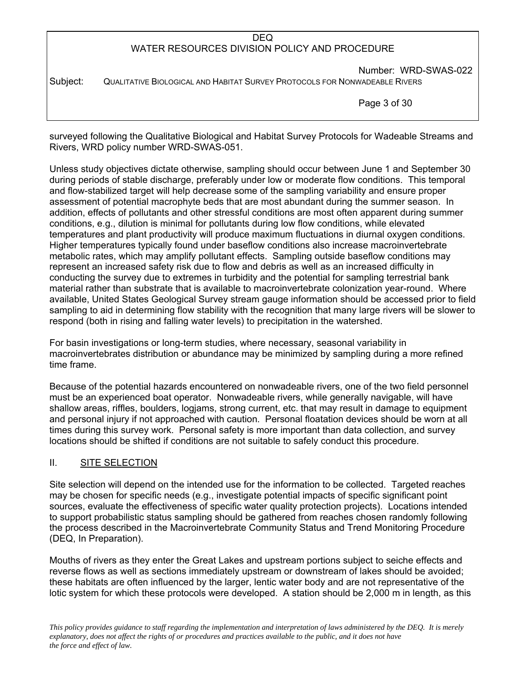Number: WRD-SWAS-022 Subject: QUALITATIVE BIOLOGICAL AND HABITAT SURVEY PROTOCOLS FOR NONWADEABLE RIVERS

Page 3 of 30

surveyed following the Qualitative Biological and Habitat Survey Protocols for Wadeable Streams and Rivers, WRD policy number WRD-SWAS-051.

Unless study objectives dictate otherwise, sampling should occur between June 1 and September 30 during periods of stable discharge, preferably under low or moderate flow conditions. This temporal and flow-stabilized target will help decrease some of the sampling variability and ensure proper assessment of potential macrophyte beds that are most abundant during the summer season. In addition, effects of pollutants and other stressful conditions are most often apparent during summer conditions, e.g., dilution is minimal for pollutants during low flow conditions, while elevated temperatures and plant productivity will produce maximum fluctuations in diurnal oxygen conditions. Higher temperatures typically found under baseflow conditions also increase macroinvertebrate metabolic rates, which may amplify pollutant effects. Sampling outside baseflow conditions may represent an increased safety risk due to flow and debris as well as an increased difficulty in conducting the survey due to extremes in turbidity and the potential for sampling terrestrial bank material rather than substrate that is available to macroinvertebrate colonization year-round. Where available, United States Geological Survey stream gauge information should be accessed prior to field sampling to aid in determining flow stability with the recognition that many large rivers will be slower to respond (both in rising and falling water levels) to precipitation in the watershed.

For basin investigations or long-term studies, where necessary, seasonal variability in macroinvertebrates distribution or abundance may be minimized by sampling during a more refined time frame.

Because of the potential hazards encountered on nonwadeable rivers, one of the two field personnel must be an experienced boat operator. Nonwadeable rivers, while generally navigable, will have shallow areas, riffles, boulders, logiams, strong current, etc. that may result in damage to equipment and personal injury if not approached with caution. Personal floatation devices should be worn at all times during this survey work. Personal safety is more important than data collection, and survey locations should be shifted if conditions are not suitable to safely conduct this procedure.

### II. SITE SELECTION

Site selection will depend on the intended use for the information to be collected. Targeted reaches may be chosen for specific needs (e.g., investigate potential impacts of specific significant point sources, evaluate the effectiveness of specific water quality protection projects). Locations intended to support probabilistic status sampling should be gathered from reaches chosen randomly following the process described in the Macroinvertebrate Community Status and Trend Monitoring Procedure (DEQ, In Preparation).

Mouths of rivers as they enter the Great Lakes and upstream portions subject to seiche effects and reverse flows as well as sections immediately upstream or downstream of lakes should be avoided; these habitats are often influenced by the larger, lentic water body and are not representative of the lotic system for which these protocols were developed. A station should be 2,000 m in length, as this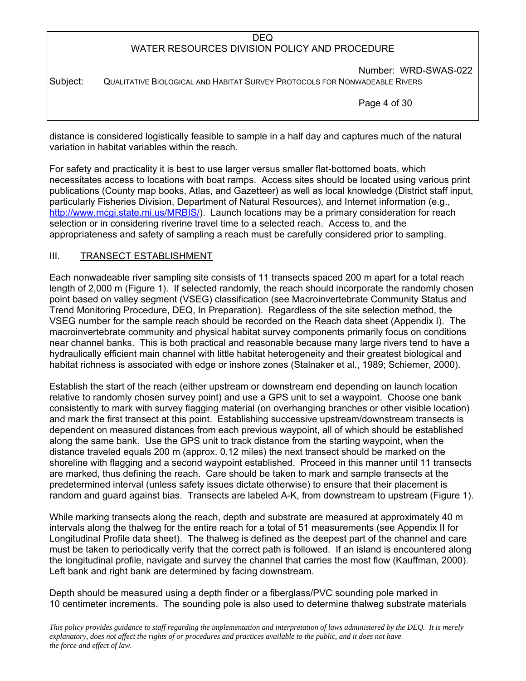Number: WRD-SWAS-022 Subject: QUALITATIVE BIOLOGICAL AND HABITAT SURVEY PROTOCOLS FOR NONWADEABLE RIVERS

Page 4 of 30

distance is considered logistically feasible to sample in a half day and captures much of the natural variation in habitat variables within the reach.

For safety and practicality it is best to use larger versus smaller flat-bottomed boats, which necessitates access to locations with boat ramps. Access sites should be located using various print publications (County map books, Atlas, and Gazetteer) as well as local knowledge (District staff input, particularly Fisheries Division, Department of Natural Resources), and Internet information (e.g., http://www.mcgi.state.mi.us/MRBIS/). Launch locations may be a primary consideration for reach selection or in considering riverine travel time to a selected reach. Access to, and the appropriateness and safety of sampling a reach must be carefully considered prior to sampling.

# III. TRANSECT ESTABLISHMENT

Each nonwadeable river sampling site consists of 11 transects spaced 200 m apart for a total reach length of 2,000 m (Figure 1). If selected randomly, the reach should incorporate the randomly chosen point based on valley segment (VSEG) classification (see Macroinvertebrate Community Status and Trend Monitoring Procedure, DEQ, In Preparation). Regardless of the site selection method, the VSEG number for the sample reach should be recorded on the Reach data sheet (Appendix I). The macroinvertebrate community and physical habitat survey components primarily focus on conditions near channel banks. This is both practical and reasonable because many large rivers tend to have a hydraulically efficient main channel with little habitat heterogeneity and their greatest biological and habitat richness is associated with edge or inshore zones (Stalnaker et al., 1989; Schiemer, 2000).

Establish the start of the reach (either upstream or downstream end depending on launch location relative to randomly chosen survey point) and use a GPS unit to set a waypoint. Choose one bank consistently to mark with survey flagging material (on overhanging branches or other visible location) and mark the first transect at this point. Establishing successive upstream/downstream transects is dependent on measured distances from each previous waypoint, all of which should be established along the same bank. Use the GPS unit to track distance from the starting waypoint, when the distance traveled equals 200 m (approx. 0.12 miles) the next transect should be marked on the shoreline with flagging and a second waypoint established. Proceed in this manner until 11 transects are marked, thus defining the reach. Care should be taken to mark and sample transects at the predetermined interval (unless safety issues dictate otherwise) to ensure that their placement is random and guard against bias. Transects are labeled A-K, from downstream to upstream (Figure 1).

While marking transects along the reach, depth and substrate are measured at approximately 40 m intervals along the thalweg for the entire reach for a total of 51 measurements (see Appendix II for Longitudinal Profile data sheet). The thalweg is defined as the deepest part of the channel and care must be taken to periodically verify that the correct path is followed. If an island is encountered along the longitudinal profile, navigate and survey the channel that carries the most flow (Kauffman, 2000). Left bank and right bank are determined by facing downstream.

Depth should be measured using a depth finder or a fiberglass/PVC sounding pole marked in 10 centimeter increments. The sounding pole is also used to determine thalweg substrate materials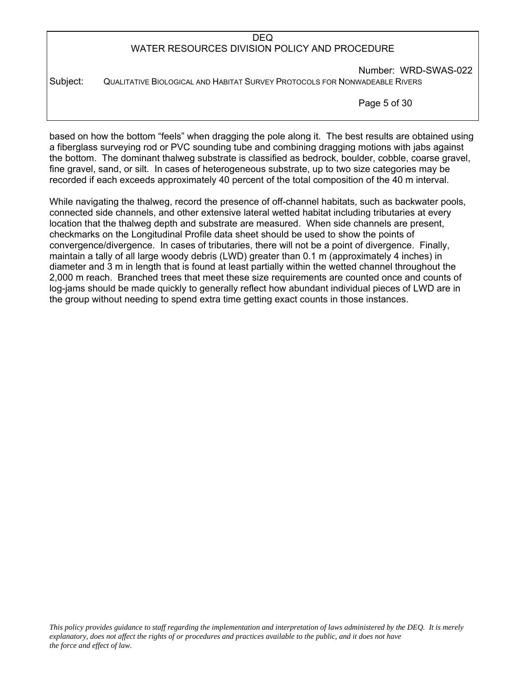Number: WRD-SWAS-022 Subject: QUALITATIVE BIOLOGICAL AND HABITAT SURVEY PROTOCOLS FOR NONWADEABLE RIVERS

Page 5 of 30

based on how the bottom "feels" when dragging the pole along it. The best results are obtained using a fiberglass surveying rod or PVC sounding tube and combining dragging motions with jabs against the bottom. The dominant thalweg substrate is classified as bedrock, boulder, cobble, coarse gravel, fine gravel, sand, or silt. In cases of heterogeneous substrate, up to two size categories may be recorded if each exceeds approximately 40 percent of the total composition of the 40 m interval.

While navigating the thalweg, record the presence of off-channel habitats, such as backwater pools, connected side channels, and other extensive lateral wetted habitat including tributaries at every location that the thalweg depth and substrate are measured. When side channels are present, checkmarks on the Longitudinal Profile data sheet should be used to show the points of convergence/divergence. In cases of tributaries, there will not be a point of divergence. Finally, maintain a tally of all large woody debris (LWD) greater than 0.1 m (approximately 4 inches) in diameter and 3 m in length that is found at least partially within the wetted channel throughout the 2,000 m reach. Branched trees that meet these size requirements are counted once and counts of log-jams should be made quickly to generally reflect how abundant individual pieces of LWD are in the group without needing to spend extra time getting exact counts in those instances.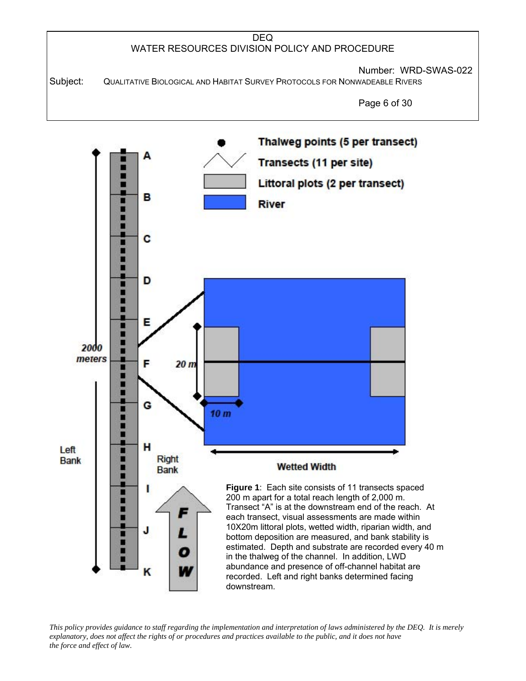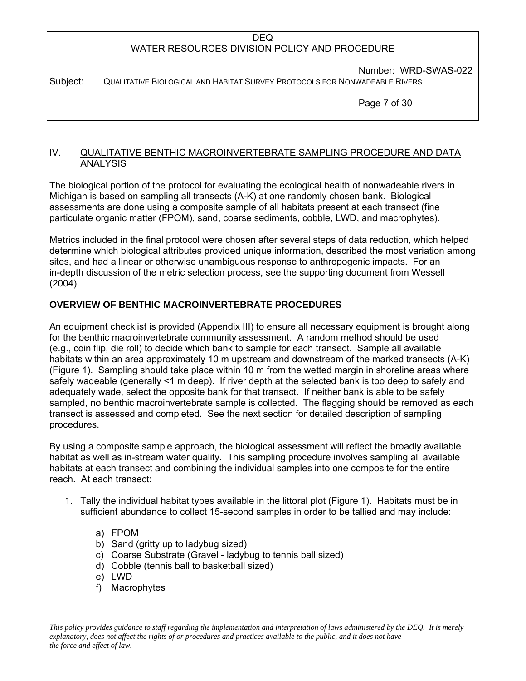Number: WRD-SWAS-022 Subject: QUALITATIVE BIOLOGICAL AND HABITAT SURVEY PROTOCOLS FOR NONWADEABLE RIVERS

Page 7 of 30

### IV. QUALITATIVE BENTHIC MACROINVERTEBRATE SAMPLING PROCEDURE AND DATA ANALYSIS

The biological portion of the protocol for evaluating the ecological health of nonwadeable rivers in Michigan is based on sampling all transects (A-K) at one randomly chosen bank. Biological assessments are done using a composite sample of all habitats present at each transect (fine particulate organic matter (FPOM), sand, coarse sediments, cobble, LWD, and macrophytes).

Metrics included in the final protocol were chosen after several steps of data reduction, which helped determine which biological attributes provided unique information, described the most variation among sites, and had a linear or otherwise unambiguous response to anthropogenic impacts. For an in-depth discussion of the metric selection process, see the supporting document from Wessell (2004).

# **OVERVIEW OF BENTHIC MACROINVERTEBRATE PROCEDURES**

An equipment checklist is provided (Appendix III) to ensure all necessary equipment is brought along for the benthic macroinvertebrate community assessment. A random method should be used (e.g., coin flip, die roll) to decide which bank to sample for each transect. Sample all available habitats within an area approximately 10 m upstream and downstream of the marked transects (A-K) (Figure 1). Sampling should take place within 10 m from the wetted margin in shoreline areas where safely wadeable (generally <1 m deep). If river depth at the selected bank is too deep to safely and adequately wade, select the opposite bank for that transect. If neither bank is able to be safely sampled, no benthic macroinvertebrate sample is collected. The flagging should be removed as each transect is assessed and completed. See the next section for detailed description of sampling procedures.

By using a composite sample approach, the biological assessment will reflect the broadly available habitat as well as in-stream water quality. This sampling procedure involves sampling all available habitats at each transect and combining the individual samples into one composite for the entire reach. At each transect:

- 1. Tally the individual habitat types available in the littoral plot (Figure 1). Habitats must be in sufficient abundance to collect 15-second samples in order to be tallied and may include:
	- a) FPOM
	- b) Sand (gritty up to ladybug sized)
	- c) Coarse Substrate (Gravel ladybug to tennis ball sized)
	- d) Cobble (tennis ball to basketball sized)
	- e) LWD
	- f) Macrophytes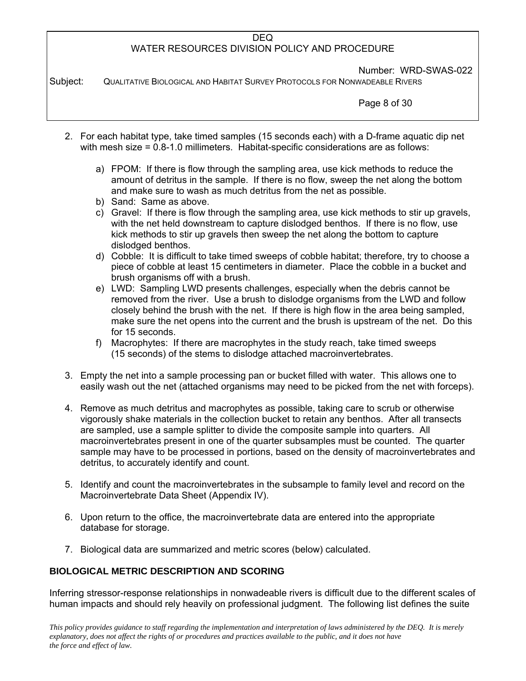Number: WRD-SWAS-022

Subject: QUALITATIVE BIOLOGICAL AND HABITAT SURVEY PROTOCOLS FOR NONWADEABLE RIVERS

Page 8 of 30

- 2. For each habitat type, take timed samples (15 seconds each) with a D-frame aquatic dip net with mesh size = 0.8-1.0 millimeters. Habitat-specific considerations are as follows:
	- a) FPOM: If there is flow through the sampling area, use kick methods to reduce the amount of detritus in the sample. If there is no flow, sweep the net along the bottom and make sure to wash as much detritus from the net as possible.
	- b) Sand: Same as above.
	- c) Gravel: If there is flow through the sampling area, use kick methods to stir up gravels, with the net held downstream to capture dislodged benthos. If there is no flow, use kick methods to stir up gravels then sweep the net along the bottom to capture dislodged benthos.
	- d) Cobble: It is difficult to take timed sweeps of cobble habitat; therefore, try to choose a piece of cobble at least 15 centimeters in diameter. Place the cobble in a bucket and brush organisms off with a brush.
	- e) LWD: Sampling LWD presents challenges, especially when the debris cannot be removed from the river. Use a brush to dislodge organisms from the LWD and follow closely behind the brush with the net. If there is high flow in the area being sampled, make sure the net opens into the current and the brush is upstream of the net. Do this for 15 seconds.
	- f) Macrophytes: If there are macrophytes in the study reach, take timed sweeps (15 seconds) of the stems to dislodge attached macroinvertebrates.
- 3. Empty the net into a sample processing pan or bucket filled with water. This allows one to easily wash out the net (attached organisms may need to be picked from the net with forceps).
- 4. Remove as much detritus and macrophytes as possible, taking care to scrub or otherwise vigorously shake materials in the collection bucket to retain any benthos. After all transects are sampled, use a sample splitter to divide the composite sample into quarters. All macroinvertebrates present in one of the quarter subsamples must be counted. The quarter sample may have to be processed in portions, based on the density of macroinvertebrates and detritus, to accurately identify and count.
- 5. Identify and count the macroinvertebrates in the subsample to family level and record on the Macroinvertebrate Data Sheet (Appendix IV).
- 6. Upon return to the office, the macroinvertebrate data are entered into the appropriate database for storage.
- 7. Biological data are summarized and metric scores (below) calculated.

### **BIOLOGICAL METRIC DESCRIPTION AND SCORING**

Inferring stressor-response relationships in nonwadeable rivers is difficult due to the different scales of human impacts and should rely heavily on professional judgment. The following list defines the suite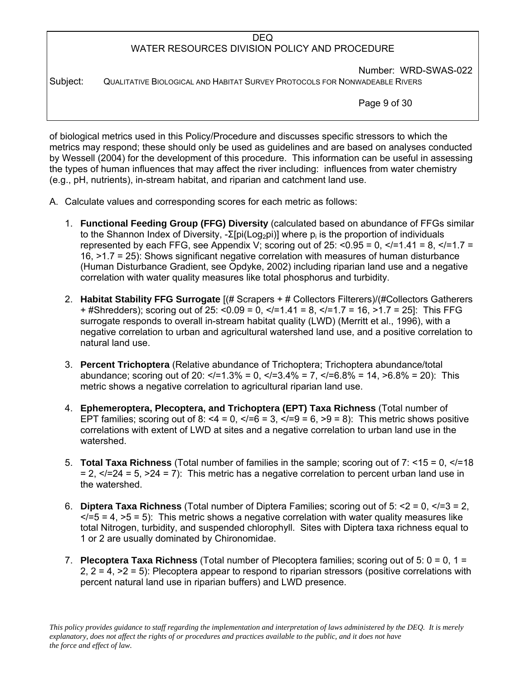Number: WRD-SWAS-022 Subject: QUALITATIVE BIOLOGICAL AND HABITAT SURVEY PROTOCOLS FOR NONWADEABLE RIVERS

Page 9 of 30

of biological metrics used in this Policy/Procedure and discusses specific stressors to which the metrics may respond; these should only be used as guidelines and are based on analyses conducted by Wessell (2004) for the development of this procedure. This information can be useful in assessing the types of human influences that may affect the river including: influences from water chemistry (e.g., pH, nutrients), in-stream habitat, and riparian and catchment land use.

- A. Calculate values and corresponding scores for each metric as follows:
	- 1. **Functional Feeding Group (FFG) Diversity** (calculated based on abundance of FFGs similar to the Shannon Index of Diversity, -Σ[pi(Log<sub>2</sub>pi)] where p<sub>i</sub> is the proportion of individuals represented by each FFG, see Appendix V; scoring out of 25:  $\leq$  0.95 = 0,  $\leq$  = 1.41 = 8,  $\leq$  = 1.7 = 16, >1.7 = 25): Shows significant negative correlation with measures of human disturbance (Human Disturbance Gradient, see Opdyke, 2002) including riparian land use and a negative correlation with water quality measures like total phosphorus and turbidity.
	- 2. **Habitat Stability FFG Surrogate** [(# Scrapers + # Collectors Filterers)/(#Collectors Gatherers  $+$  #Shredders); scoring out of 25: <0.09 = 0, </=1.41 = 8, </=1.7 = 16, >1.7 = 25]: This FFG surrogate responds to overall in-stream habitat quality (LWD) (Merritt et al., 1996), with a negative correlation to urban and agricultural watershed land use, and a positive correlation to natural land use.
	- 3. **Percent Trichoptera** (Relative abundance of Trichoptera; Trichoptera abundance/total abundance; scoring out of 20:  $\langle$  = 1.3% = 0,  $\langle$  = 3.4% = 7,  $\langle$  = 6.8% = 14,  $>$  6.8% = 20): This metric shows a negative correlation to agricultural riparian land use.
	- 4. **Ephemeroptera, Plecoptera, and Trichoptera (EPT) Taxa Richness** (Total number of EPT families; scoring out of 8: <4 = 0, </=6 = 3, </=9 = 6, >9 = 8): This metric shows positive correlations with extent of LWD at sites and a negative correlation to urban land use in the watershed.
	- 5. **Total Taxa Richness** (Total number of families in the sample; scoring out of 7: <15 = 0, </=18  $= 2$ ,  $\lt$ /=24 = 5,  $\gt$ 24 = 7): This metric has a negative correlation to percent urban land use in the watershed.
	- 6. **Diptera Taxa Richness** (Total number of Diptera Families; scoring out of 5: <2 = 0, </=3 = 2,  $\langle$  = 5 = 4, >5 = 5): This metric shows a negative correlation with water quality measures like total Nitrogen, turbidity, and suspended chlorophyll. Sites with Diptera taxa richness equal to 1 or 2 are usually dominated by Chironomidae.
	- 7. **Plecoptera Taxa Richness** (Total number of Plecoptera families; scoring out of 5: 0 = 0, 1 = 2,  $2 = 4$ ,  $>2 = 5$ ): Plecoptera appear to respond to riparian stressors (positive correlations with percent natural land use in riparian buffers) and LWD presence.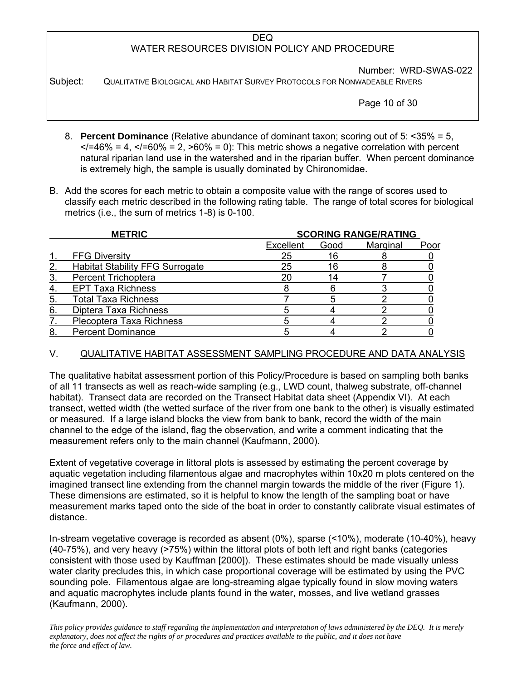Number: WRD-SWAS-022

Subject: QUALITATIVE BIOLOGICAL AND HABITAT SURVEY PROTOCOLS FOR NONWADEABLE RIVERS

Page 10 of 30

- 8. **Percent Dominance** (Relative abundance of dominant taxon; scoring out of 5: <35% = 5,  $\langle 46\% \rangle = 4$ ,  $\langle 460\% \rangle = 2$ ,  $\langle 60\% \rangle = 0$ ): This metric shows a negative correlation with percent natural riparian land use in the watershed and in the riparian buffer. When percent dominance is extremely high, the sample is usually dominated by Chironomidae.
- B. Add the scores for each metric to obtain a composite value with the range of scores used to classify each metric described in the following rating table. The range of total scores for biological metrics (i.e., the sum of metrics 1-8) is 0-100.

|    | <b>METRIC</b>                          | <b>SCORING RANGE/RATING</b> |      |          |      |  |  |  |  |
|----|----------------------------------------|-----------------------------|------|----------|------|--|--|--|--|
|    |                                        | Excellent                   | Good | Marginal | Poor |  |  |  |  |
|    | <b>FFG Diversity</b>                   | 25                          | 16   |          |      |  |  |  |  |
| 2  | <b>Habitat Stability FFG Surrogate</b> | 25                          | 16   |          |      |  |  |  |  |
|    | <b>Percent Trichoptera</b>             |                             |      |          |      |  |  |  |  |
| 4  | <b>EPT Taxa Richness</b>               |                             |      |          |      |  |  |  |  |
| 5  | <b>Total Taxa Richness</b>             |                             |      |          |      |  |  |  |  |
| 6. | Diptera Taxa Richness                  |                             |      |          |      |  |  |  |  |
|    | Plecoptera Taxa Richness               |                             |      |          |      |  |  |  |  |
| 8  | <b>Percent Dominance</b>               |                             |      |          |      |  |  |  |  |

# V. QUALITATIVE HABITAT ASSESSMENT SAMPLING PROCEDURE AND DATA ANALYSIS

The qualitative habitat assessment portion of this Policy/Procedure is based on sampling both banks of all 11 transects as well as reach-wide sampling (e.g., LWD count, thalweg substrate, off-channel habitat). Transect data are recorded on the Transect Habitat data sheet (Appendix VI). At each transect, wetted width (the wetted surface of the river from one bank to the other) is visually estimated or measured. If a large island blocks the view from bank to bank, record the width of the main channel to the edge of the island, flag the observation, and write a comment indicating that the measurement refers only to the main channel (Kaufmann, 2000).

Extent of vegetative coverage in littoral plots is assessed by estimating the percent coverage by aquatic vegetation including filamentous algae and macrophytes within 10x20 m plots centered on the imagined transect line extending from the channel margin towards the middle of the river (Figure 1). These dimensions are estimated, so it is helpful to know the length of the sampling boat or have measurement marks taped onto the side of the boat in order to constantly calibrate visual estimates of distance.

In-stream vegetative coverage is recorded as absent (0%), sparse (<10%), moderate (10-40%), heavy (40-75%), and very heavy (>75%) within the littoral plots of both left and right banks (categories consistent with those used by Kauffman [2000]). These estimates should be made visually unless water clarity precludes this, in which case proportional coverage will be estimated by using the PVC sounding pole. Filamentous algae are long-streaming algae typically found in slow moving waters and aquatic macrophytes include plants found in the water, mosses, and live wetland grasses (Kaufmann, 2000).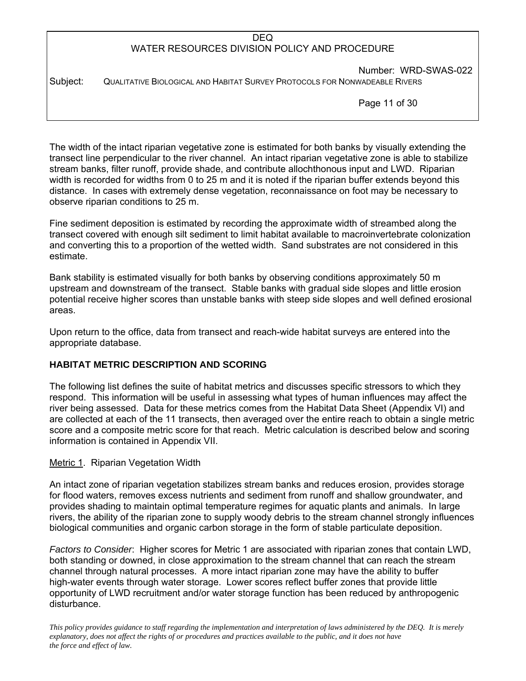Number: WRD-SWAS-022 Subject: QUALITATIVE BIOLOGICAL AND HABITAT SURVEY PROTOCOLS FOR NONWADEABLE RIVERS

Page 11 of 30

The width of the intact riparian vegetative zone is estimated for both banks by visually extending the transect line perpendicular to the river channel. An intact riparian vegetative zone is able to stabilize stream banks, filter runoff, provide shade, and contribute allochthonous input and LWD. Riparian width is recorded for widths from 0 to 25 m and it is noted if the riparian buffer extends beyond this distance. In cases with extremely dense vegetation, reconnaissance on foot may be necessary to observe riparian conditions to 25 m.

Fine sediment deposition is estimated by recording the approximate width of streambed along the transect covered with enough silt sediment to limit habitat available to macroinvertebrate colonization and converting this to a proportion of the wetted width. Sand substrates are not considered in this estimate.

Bank stability is estimated visually for both banks by observing conditions approximately 50 m upstream and downstream of the transect. Stable banks with gradual side slopes and little erosion potential receive higher scores than unstable banks with steep side slopes and well defined erosional areas.

Upon return to the office, data from transect and reach-wide habitat surveys are entered into the appropriate database.

# **HABITAT METRIC DESCRIPTION AND SCORING**

The following list defines the suite of habitat metrics and discusses specific stressors to which they respond. This information will be useful in assessing what types of human influences may affect the river being assessed. Data for these metrics comes from the Habitat Data Sheet (Appendix VI) and are collected at each of the 11 transects, then averaged over the entire reach to obtain a single metric score and a composite metric score for that reach. Metric calculation is described below and scoring information is contained in Appendix VII.

# Metric 1. Riparian Vegetation Width

An intact zone of riparian vegetation stabilizes stream banks and reduces erosion, provides storage for flood waters, removes excess nutrients and sediment from runoff and shallow groundwater, and provides shading to maintain optimal temperature regimes for aquatic plants and animals. In large rivers, the ability of the riparian zone to supply woody debris to the stream channel strongly influences biological communities and organic carbon storage in the form of stable particulate deposition.

*Factors to Consider*: Higher scores for Metric 1 are associated with riparian zones that contain LWD, both standing or downed, in close approximation to the stream channel that can reach the stream channel through natural processes. A more intact riparian zone may have the ability to buffer high-water events through water storage. Lower scores reflect buffer zones that provide little opportunity of LWD recruitment and/or water storage function has been reduced by anthropogenic disturbance.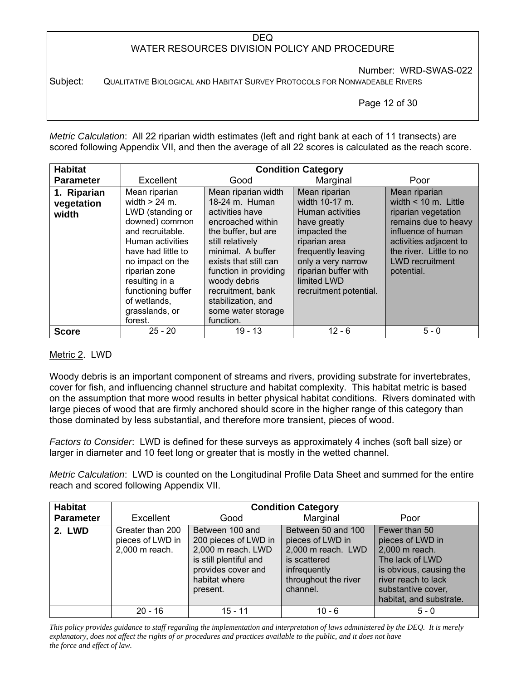Number: WRD-SWAS-022

Subject: QUALITATIVE BIOLOGICAL AND HABITAT SURVEY PROTOCOLS FOR NONWADEABLE RIVERS

Page 12 of 30

*Metric Calculation*: All 22 riparian width estimates (left and right bank at each of 11 transects) are scored following Appendix VII, and then the average of all 22 scores is calculated as the reach score.

| <b>Habitat</b>                     |                                                                                                                                                                                                                                                                |                                                                                                                                                                                                                                                                                               | <b>Condition Category</b>                                                                                                                                                                                         |                                                                                                                                                                                                           |
|------------------------------------|----------------------------------------------------------------------------------------------------------------------------------------------------------------------------------------------------------------------------------------------------------------|-----------------------------------------------------------------------------------------------------------------------------------------------------------------------------------------------------------------------------------------------------------------------------------------------|-------------------------------------------------------------------------------------------------------------------------------------------------------------------------------------------------------------------|-----------------------------------------------------------------------------------------------------------------------------------------------------------------------------------------------------------|
| <b>Parameter</b>                   | Excellent                                                                                                                                                                                                                                                      | Good                                                                                                                                                                                                                                                                                          | Marginal                                                                                                                                                                                                          | Poor                                                                                                                                                                                                      |
| 1. Riparian<br>vegetation<br>width | Mean riparian<br>width $> 24$ m.<br>LWD (standing or<br>downed) common<br>and recruitable.<br>Human activities<br>have had little to<br>no impact on the<br>riparian zone<br>resulting in a<br>functioning buffer<br>of wetlands,<br>grasslands, or<br>forest. | Mean riparian width<br>18-24 m. Human<br>activities have<br>encroached within<br>the buffer, but are<br>still relatively<br>minimal. A buffer<br>exists that still can<br>function in providing<br>woody debris<br>recruitment, bank<br>stabilization, and<br>some water storage<br>function. | Mean riparian<br>width 10-17 m.<br>Human activities<br>have greatly<br>impacted the<br>riparian area<br>frequently leaving<br>only a very narrow<br>riparian buffer with<br>limited LWD<br>recruitment potential. | Mean riparian<br>width $< 10$ m. Little<br>riparian vegetation<br>remains due to heavy<br>influence of human<br>activities adjacent to<br>the river. Little to no<br><b>LWD</b> recruitment<br>potential. |
| <b>Score</b>                       | $25 - 20$                                                                                                                                                                                                                                                      | $19 - 13$                                                                                                                                                                                                                                                                                     | $12 - 6$                                                                                                                                                                                                          | $5 - 0$                                                                                                                                                                                                   |

### Metric 2. LWD

Woody debris is an important component of streams and rivers, providing substrate for invertebrates, cover for fish, and influencing channel structure and habitat complexity. This habitat metric is based on the assumption that more wood results in better physical habitat conditions. Rivers dominated with large pieces of wood that are firmly anchored should score in the higher range of this category than those dominated by less substantial, and therefore more transient, pieces of wood.

*Factors to Consider*: LWD is defined for these surveys as approximately 4 inches (soft ball size) or larger in diameter and 10 feet long or greater that is mostly in the wetted channel.

*Metric Calculation*: LWD is counted on the Longitudinal Profile Data Sheet and summed for the entire reach and scored following Appendix VII.

| <b>Habitat</b>   |                                                        |                                                                                                                                            | <b>Condition Category</b>                                                                                                        |                                                                                                                                                                           |  |  |
|------------------|--------------------------------------------------------|--------------------------------------------------------------------------------------------------------------------------------------------|----------------------------------------------------------------------------------------------------------------------------------|---------------------------------------------------------------------------------------------------------------------------------------------------------------------------|--|--|
| <b>Parameter</b> | Excellent                                              | Good                                                                                                                                       | Marginal                                                                                                                         | Poor                                                                                                                                                                      |  |  |
| <b>2. LWD</b>    | Greater than 200<br>pieces of LWD in<br>2,000 m reach. | Between 100 and<br>200 pieces of LWD in<br>2,000 m reach. LWD<br>is still plentiful and<br>provides cover and<br>habitat where<br>present. | Between 50 and 100<br>pieces of LWD in<br>2,000 m reach. LWD<br>is scattered<br>infrequently<br>throughout the river<br>channel. | Fewer than 50<br>pieces of LWD in<br>2,000 m reach.<br>The lack of LWD<br>is obvious, causing the<br>river reach to lack<br>substantive cover,<br>habitat, and substrate. |  |  |
|                  | $20 - 16$                                              | 15 - 11                                                                                                                                    | $10 - 6$                                                                                                                         | $5 - 0$                                                                                                                                                                   |  |  |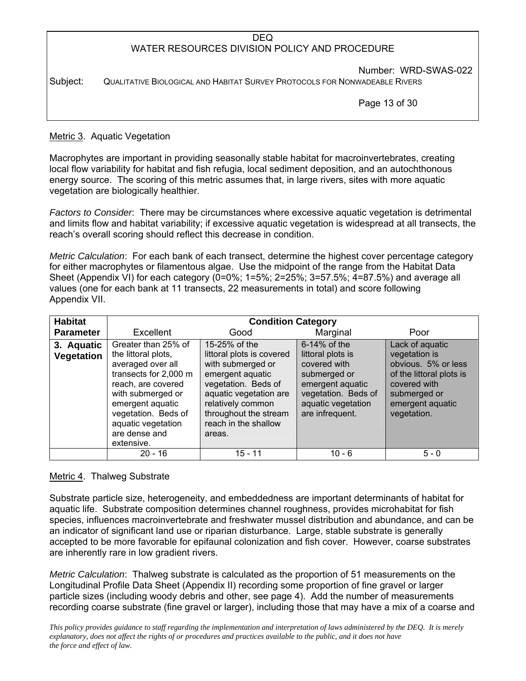# DEQ WATER RESOURCES DIVISION POLICY AND PROCEDURE Number: WRD-SWAS-022 Subject: QUALITATIVE BIOLOGICAL AND HABITAT SURVEY PROTOCOLS FOR NONWADEABLE RIVERS

Page 13 of 30

# Metric 3. Aquatic Vegetation

Macrophytes are important in providing seasonally stable habitat for macroinvertebrates, creating local flow variability for habitat and fish refugia, local sediment deposition, and an autochthonous energy source. The scoring of this metric assumes that, in large rivers, sites with more aquatic vegetation are biologically healthier.

*Factors to Consider*: There may be circumstances where excessive aquatic vegetation is detrimental and limits flow and habitat variability; if excessive aquatic vegetation is widespread at all transects, the reach's overall scoring should reflect this decrease in condition.

*Metric Calculation*: For each bank of each transect, determine the highest cover percentage category for either macrophytes or filamentous algae. Use the midpoint of the range from the Habitat Data Sheet (Appendix VI) for each category (0=0%; 1=5%; 2=25%; 3=57.5%; 4=87.5%) and average all values (one for each bank at 11 transects, 22 measurements in total) and score following Appendix VII.

| <b>Habitat</b>           |                                                                                                                                                                                                                                     | <b>Condition Category</b>                                                                                                                                                                                            |                                                                                                                                                          |                                                                                                                                                        |
|--------------------------|-------------------------------------------------------------------------------------------------------------------------------------------------------------------------------------------------------------------------------------|----------------------------------------------------------------------------------------------------------------------------------------------------------------------------------------------------------------------|----------------------------------------------------------------------------------------------------------------------------------------------------------|--------------------------------------------------------------------------------------------------------------------------------------------------------|
| <b>Parameter</b>         | <b>Excellent</b>                                                                                                                                                                                                                    | Good                                                                                                                                                                                                                 | Marginal                                                                                                                                                 | Poor                                                                                                                                                   |
| 3. Aquatic<br>Vegetation | Greater than 25% of<br>the littoral plots,<br>averaged over all<br>transects for 2,000 m<br>reach, are covered<br>with submerged or<br>emergent aquatic<br>vegetation. Beds of<br>aquatic vegetation<br>are dense and<br>extensive. | 15-25% of the<br>littoral plots is covered<br>with submerged or<br>emergent aquatic<br>vegetation. Beds of<br>aquatic vegetation are<br>relatively common<br>throughout the stream<br>reach in the shallow<br>areas. | $6-14\%$ of the<br>littoral plots is<br>covered with<br>submerged or<br>emergent aquatic<br>vegetation. Beds of<br>aquatic vegetation<br>are infrequent. | Lack of aquatic<br>vegetation is<br>obvious. 5% or less<br>of the littoral plots is<br>covered with<br>submerged or<br>emergent aquatic<br>vegetation. |
|                          | $20 - 16$                                                                                                                                                                                                                           | 15 - 11                                                                                                                                                                                                              | $10 - 6$                                                                                                                                                 | $5 - 0$                                                                                                                                                |

### Metric 4. Thalweg Substrate

Substrate particle size, heterogeneity, and embeddedness are important determinants of habitat for aquatic life. Substrate composition determines channel roughness, provides microhabitat for fish species, influences macroinvertebrate and freshwater mussel distribution and abundance, and can be an indicator of significant land use or riparian disturbance. Large, stable substrate is generally accepted to be more favorable for epifaunal colonization and fish cover. However, coarse substrates are inherently rare in low gradient rivers.

*Metric Calculation*: Thalweg substrate is calculated as the proportion of 51 measurements on the Longitudinal Profile Data Sheet (Appendix II) recording some proportion of fine gravel or larger particle sizes (including woody debris and other, see page 4). Add the number of measurements recording coarse substrate (fine gravel or larger), including those that may have a mix of a coarse and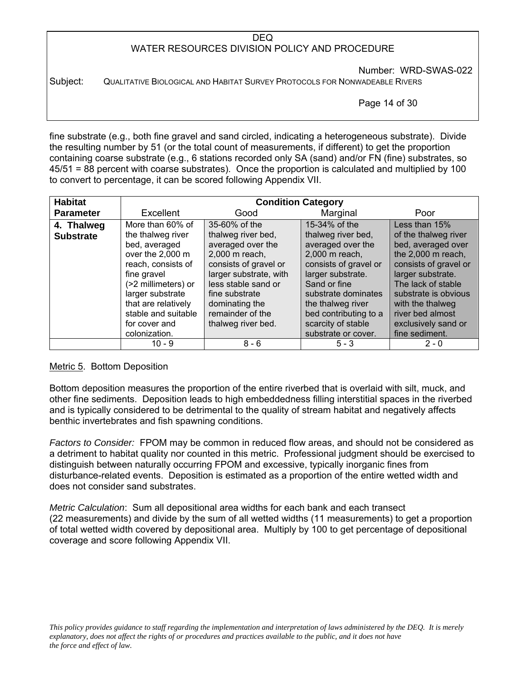Number: WRD-SWAS-022

Subject: QUALITATIVE BIOLOGICAL AND HABITAT SURVEY PROTOCOLS FOR NONWADEABLE RIVERS

Page 14 of 30

fine substrate (e.g., both fine gravel and sand circled, indicating a heterogeneous substrate). Divide the resulting number by 51 (or the total count of measurements, if different) to get the proportion containing coarse substrate (e.g., 6 stations recorded only SA (sand) and/or FN (fine) substrates, so 45/51 = 88 percent with coarse substrates). Once the proportion is calculated and multiplied by 100 to convert to percentage, it can be scored following Appendix VII.

| <b>Habitat</b>                 |                                                                                                                                                                                                          | <b>Condition Category</b>                                                                                                                                                                                    |                                                                                                                                                                                                               |                                                                                                                                                                                                                       |
|--------------------------------|----------------------------------------------------------------------------------------------------------------------------------------------------------------------------------------------------------|--------------------------------------------------------------------------------------------------------------------------------------------------------------------------------------------------------------|---------------------------------------------------------------------------------------------------------------------------------------------------------------------------------------------------------------|-----------------------------------------------------------------------------------------------------------------------------------------------------------------------------------------------------------------------|
| <b>Parameter</b>               | Excellent                                                                                                                                                                                                | Good                                                                                                                                                                                                         | Marginal                                                                                                                                                                                                      | Poor                                                                                                                                                                                                                  |
| 4. Thalweg<br><b>Substrate</b> | More than 60% of<br>the thalweg river<br>bed, averaged<br>over the 2,000 m<br>reach, consists of<br>fine gravel<br>(>2 millimeters) or<br>larger substrate<br>that are relatively<br>stable and suitable | 35-60% of the<br>thalweg river bed,<br>averaged over the<br>2,000 m reach,<br>consists of gravel or<br>larger substrate, with<br>less stable sand or<br>fine substrate<br>dominating the<br>remainder of the | 15-34% of the<br>thalweg river bed,<br>averaged over the<br>2,000 m reach,<br>consists of gravel or<br>larger substrate.<br>Sand or fine<br>substrate dominates<br>the thalweg river<br>bed contributing to a | Less than 15%<br>of the thalweg river<br>bed, averaged over<br>the 2,000 m reach,<br>consists of gravel or<br>larger substrate.<br>The lack of stable<br>substrate is obvious<br>with the thalweg<br>river bed almost |
|                                | for cover and<br>colonization.                                                                                                                                                                           | thalweg river bed.                                                                                                                                                                                           | scarcity of stable<br>substrate or cover.                                                                                                                                                                     | exclusively sand or<br>fine sediment.                                                                                                                                                                                 |
|                                | $10 - 9$                                                                                                                                                                                                 | $8 - 6$                                                                                                                                                                                                      | $5 - 3$                                                                                                                                                                                                       | $2 - 0$                                                                                                                                                                                                               |

### Metric 5. Bottom Deposition

Bottom deposition measures the proportion of the entire riverbed that is overlaid with silt, muck, and other fine sediments. Deposition leads to high embeddedness filling interstitial spaces in the riverbed and is typically considered to be detrimental to the quality of stream habitat and negatively affects benthic invertebrates and fish spawning conditions.

*Factors to Consider:* FPOM may be common in reduced flow areas, and should not be considered as a detriment to habitat quality nor counted in this metric. Professional judgment should be exercised to distinguish between naturally occurring FPOM and excessive, typically inorganic fines from disturbance-related events. Deposition is estimated as a proportion of the entire wetted width and does not consider sand substrates.

*Metric Calculation*: Sum all depositional area widths for each bank and each transect (22 measurements) and divide by the sum of all wetted widths (11 measurements) to get a proportion of total wetted width covered by depositional area. Multiply by 100 to get percentage of depositional coverage and score following Appendix VII.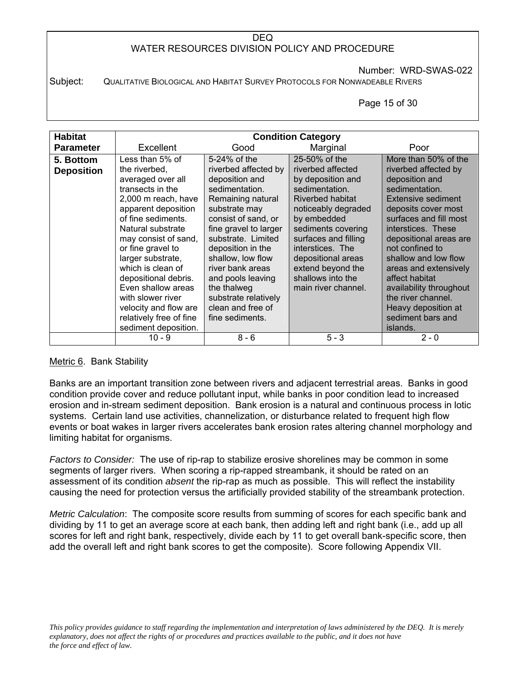Number: WRD-SWAS-022

Subject: QUALITATIVE BIOLOGICAL AND HABITAT SURVEY PROTOCOLS FOR NONWADEABLE RIVERS

Page 15 of 30

| <b>Habitat</b>    |                         |                       | <b>Condition Category</b> |                         |
|-------------------|-------------------------|-----------------------|---------------------------|-------------------------|
| <b>Parameter</b>  | Excellent               | Good                  | Marginal                  | Poor                    |
| 5. Bottom         | Less than 5% of         | $5-24\%$ of the       | 25-50% of the             | More than 50% of the    |
| <b>Deposition</b> | the riverbed,           | riverbed affected by  | riverbed affected         | riverbed affected by    |
|                   | averaged over all       | deposition and        | by deposition and         | deposition and          |
|                   | transects in the        | sedimentation.        | sedimentation.            | sedimentation.          |
|                   | 2,000 m reach, have     | Remaining natural     | Riverbed habitat          | Extensive sediment      |
|                   | apparent deposition     | substrate may         | noticeably degraded       | deposits cover most     |
|                   | of fine sediments.      | consist of sand, or   | by embedded               | surfaces and fill most  |
|                   | Natural substrate       | fine gravel to larger | sediments covering        | interstices. These      |
|                   | may consist of sand,    | substrate. Limited    | surfaces and filling      | depositional areas are  |
|                   | or fine gravel to       | deposition in the     | interstices. The          | not confined to         |
|                   | larger substrate,       | shallow, low flow     | depositional areas        | shallow and low flow    |
|                   | which is clean of       | river bank areas      | extend beyond the         | areas and extensively   |
|                   | depositional debris.    | and pools leaving     | shallows into the         | affect habitat          |
|                   | Even shallow areas      | the thalweg           | main river channel.       | availability throughout |
|                   | with slower river       | substrate relatively  |                           | the river channel.      |
|                   | velocity and flow are   | clean and free of     |                           | Heavy deposition at     |
|                   | relatively free of fine | fine sediments.       |                           | sediment bars and       |
|                   | sediment deposition.    |                       |                           | islands.                |
|                   | $10 - 9$                | $8 - 6$               | $5 - 3$                   | $2 - 0$                 |

### Metric 6. Bank Stability

Banks are an important transition zone between rivers and adjacent terrestrial areas. Banks in good condition provide cover and reduce pollutant input, while banks in poor condition lead to increased erosion and in-stream sediment deposition. Bank erosion is a natural and continuous process in lotic systems. Certain land use activities, channelization, or disturbance related to frequent high flow events or boat wakes in larger rivers accelerates bank erosion rates altering channel morphology and limiting habitat for organisms.

*Factors to Consider:* The use of rip-rap to stabilize erosive shorelines may be common in some segments of larger rivers. When scoring a rip-rapped streambank, it should be rated on an assessment of its condition *absent* the rip-rap as much as possible. This will reflect the instability causing the need for protection versus the artificially provided stability of the streambank protection.

*Metric Calculation*: The composite score results from summing of scores for each specific bank and dividing by 11 to get an average score at each bank, then adding left and right bank (i.e., add up all scores for left and right bank, respectively, divide each by 11 to get overall bank-specific score, then add the overall left and right bank scores to get the composite). Score following Appendix VII.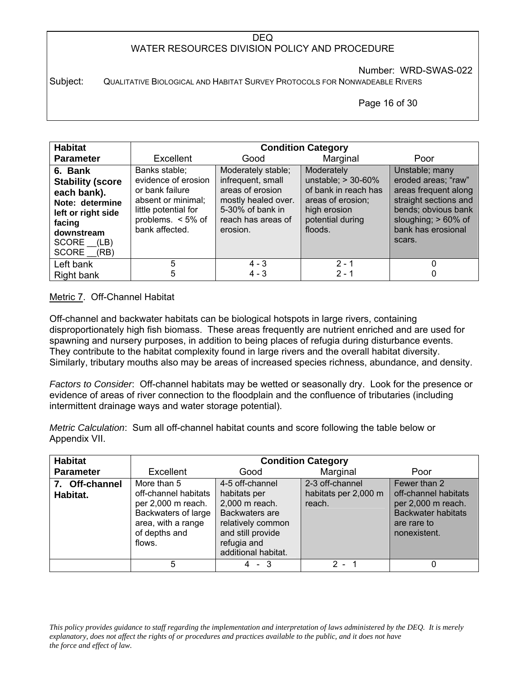Number: WRD-SWAS-022

Subject: QUALITATIVE BIOLOGICAL AND HABITAT SURVEY PROTOCOLS FOR NONWADEABLE RIVERS

#### Page 16 of 30

| <b>Habitat</b>                                                                                                                                 |                                                                                                                                                 |                                                                                                                                          | <b>Condition Category</b>                                                                                                       |                                                                                                                                                                      |
|------------------------------------------------------------------------------------------------------------------------------------------------|-------------------------------------------------------------------------------------------------------------------------------------------------|------------------------------------------------------------------------------------------------------------------------------------------|---------------------------------------------------------------------------------------------------------------------------------|----------------------------------------------------------------------------------------------------------------------------------------------------------------------|
| <b>Parameter</b>                                                                                                                               | Excellent                                                                                                                                       | Good                                                                                                                                     | Marginal                                                                                                                        | Poor                                                                                                                                                                 |
| 6. Bank<br><b>Stability (score</b><br>each bank).<br>Note: determine<br>left or right side<br>facing<br>downstream<br>SCORE (LB)<br>SCORE (RB) | Banks stable;<br>evidence of erosion<br>or bank failure<br>absent or minimal;<br>little potential for<br>problems. $< 5\%$ of<br>bank affected. | Moderately stable;<br>infrequent, small<br>areas of erosion<br>mostly healed over.<br>5-30% of bank in<br>reach has areas of<br>erosion. | Moderately<br>unstable; $> 30-60\%$<br>of bank in reach has<br>areas of erosion;<br>high erosion<br>potential during<br>floods. | Unstable; many<br>eroded areas; "raw"<br>areas frequent along<br>straight sections and<br>bends; obvious bank<br>sloughing; > 60% of<br>bank has erosional<br>scars. |
| Left bank                                                                                                                                      | 5                                                                                                                                               | $4 - 3$                                                                                                                                  | $2 - 1$                                                                                                                         |                                                                                                                                                                      |
| Right bank                                                                                                                                     | 5                                                                                                                                               | $4 - 3$                                                                                                                                  | $2 - 1$                                                                                                                         |                                                                                                                                                                      |

### Metric 7. Off-Channel Habitat

Off-channel and backwater habitats can be biological hotspots in large rivers, containing disproportionately high fish biomass. These areas frequently are nutrient enriched and are used for spawning and nursery purposes, in addition to being places of refugia during disturbance events. They contribute to the habitat complexity found in large rivers and the overall habitat diversity. Similarly, tributary mouths also may be areas of increased species richness, abundance, and density.

*Factors to Consider*: Off-channel habitats may be wetted or seasonally dry. Look for the presence or evidence of areas of river connection to the floodplain and the confluence of tributaries (including intermittent drainage ways and water storage potential).

*Metric Calculation*: Sum all off-channel habitat counts and score following the table below or Appendix VII.

| <b>Habitat</b>             |                                                                                                                                   | <b>Condition Category</b>                                                                                                                           |                                                   |                                                                                                                        |  |  |  |  |  |  |  |
|----------------------------|-----------------------------------------------------------------------------------------------------------------------------------|-----------------------------------------------------------------------------------------------------------------------------------------------------|---------------------------------------------------|------------------------------------------------------------------------------------------------------------------------|--|--|--|--|--|--|--|
| <b>Parameter</b>           | Excellent                                                                                                                         | Good                                                                                                                                                | Marginal                                          | Poor                                                                                                                   |  |  |  |  |  |  |  |
| 7. Off-channel<br>Habitat. | More than 5<br>off-channel habitats<br>per 2,000 m reach.<br>Backwaters of large<br>area, with a range<br>of depths and<br>flows. | 4-5 off-channel<br>habitats per<br>2,000 m reach.<br>Backwaters are<br>relatively common<br>and still provide<br>refugia and<br>additional habitat. | 2-3 off-channel<br>habitats per 2,000 m<br>reach. | Fewer than 2<br>off-channel habitats<br>per 2,000 m reach.<br><b>Backwater habitats</b><br>are rare to<br>nonexistent. |  |  |  |  |  |  |  |
|                            | 5                                                                                                                                 | $4 - 3$                                                                                                                                             | $2 - 1$                                           |                                                                                                                        |  |  |  |  |  |  |  |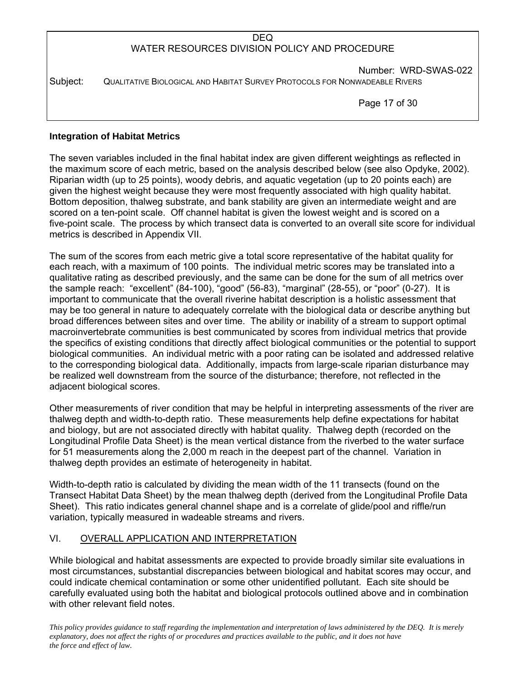Number: WRD-SWAS-022 Subject: QUALITATIVE BIOLOGICAL AND HABITAT SURVEY PROTOCOLS FOR NONWADEABLE RIVERS

Page 17 of 30

### **Integration of Habitat Metrics**

The seven variables included in the final habitat index are given different weightings as reflected in the maximum score of each metric, based on the analysis described below (see also Opdyke, 2002). Riparian width (up to 25 points), woody debris, and aquatic vegetation (up to 20 points each) are given the highest weight because they were most frequently associated with high quality habitat. Bottom deposition, thalweg substrate, and bank stability are given an intermediate weight and are scored on a ten-point scale. Off channel habitat is given the lowest weight and is scored on a five-point scale. The process by which transect data is converted to an overall site score for individual metrics is described in Appendix VII.

The sum of the scores from each metric give a total score representative of the habitat quality for each reach, with a maximum of 100 points. The individual metric scores may be translated into a qualitative rating as described previously, and the same can be done for the sum of all metrics over the sample reach: "excellent" (84-100), "good" (56-83), "marginal" (28-55), or "poor" (0-27). It is important to communicate that the overall riverine habitat description is a holistic assessment that may be too general in nature to adequately correlate with the biological data or describe anything but broad differences between sites and over time. The ability or inability of a stream to support optimal macroinvertebrate communities is best communicated by scores from individual metrics that provide the specifics of existing conditions that directly affect biological communities or the potential to support biological communities. An individual metric with a poor rating can be isolated and addressed relative to the corresponding biological data. Additionally, impacts from large-scale riparian disturbance may be realized well downstream from the source of the disturbance; therefore, not reflected in the adjacent biological scores.

Other measurements of river condition that may be helpful in interpreting assessments of the river are thalweg depth and width-to-depth ratio. These measurements help define expectations for habitat and biology, but are not associated directly with habitat quality. Thalweg depth (recorded on the Longitudinal Profile Data Sheet) is the mean vertical distance from the riverbed to the water surface for 51 measurements along the 2,000 m reach in the deepest part of the channel. Variation in thalweg depth provides an estimate of heterogeneity in habitat.

Width-to-depth ratio is calculated by dividing the mean width of the 11 transects (found on the Transect Habitat Data Sheet) by the mean thalweg depth (derived from the Longitudinal Profile Data Sheet). This ratio indicates general channel shape and is a correlate of glide/pool and riffle/run variation, typically measured in wadeable streams and rivers.

### VI. OVERALL APPLICATION AND INTERPRETATION

While biological and habitat assessments are expected to provide broadly similar site evaluations in most circumstances, substantial discrepancies between biological and habitat scores may occur, and could indicate chemical contamination or some other unidentified pollutant. Each site should be carefully evaluated using both the habitat and biological protocols outlined above and in combination with other relevant field notes.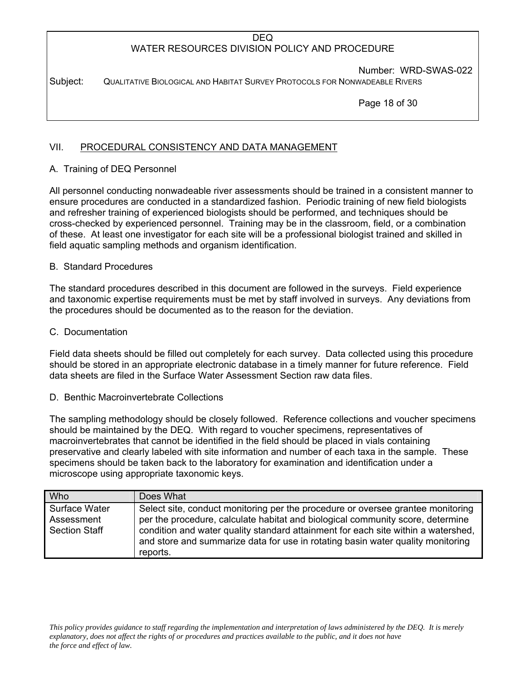Number: WRD-SWAS-022

Subject: QUALITATIVE BIOLOGICAL AND HABITAT SURVEY PROTOCOLS FOR NONWADEABLE RIVERS

Page 18 of 30

# VII. PROCEDURAL CONSISTENCY AND DATA MANAGEMENT

# A. Training of DEQ Personnel

All personnel conducting nonwadeable river assessments should be trained in a consistent manner to ensure procedures are conducted in a standardized fashion. Periodic training of new field biologists and refresher training of experienced biologists should be performed, and techniques should be cross-checked by experienced personnel. Training may be in the classroom, field, or a combination of these. At least one investigator for each site will be a professional biologist trained and skilled in field aquatic sampling methods and organism identification.

### B. Standard Procedures

The standard procedures described in this document are followed in the surveys. Field experience and taxonomic expertise requirements must be met by staff involved in surveys. Any deviations from the procedures should be documented as to the reason for the deviation.

### C. Documentation

Field data sheets should be filled out completely for each survey. Data collected using this procedure should be stored in an appropriate electronic database in a timely manner for future reference. Field data sheets are filed in the Surface Water Assessment Section raw data files.

### D. Benthic Macroinvertebrate Collections

The sampling methodology should be closely followed. Reference collections and voucher specimens should be maintained by the DEQ. With regard to voucher specimens, representatives of macroinvertebrates that cannot be identified in the field should be placed in vials containing preservative and clearly labeled with site information and number of each taxa in the sample. These specimens should be taken back to the laboratory for examination and identification under a microscope using appropriate taxonomic keys.

| <b>Who</b>                                          | Does What                                                                                                                                                                                                                                                                                                                                             |
|-----------------------------------------------------|-------------------------------------------------------------------------------------------------------------------------------------------------------------------------------------------------------------------------------------------------------------------------------------------------------------------------------------------------------|
| Surface Water<br>Assessment<br><b>Section Staff</b> | Select site, conduct monitoring per the procedure or oversee grantee monitoring<br>per the procedure, calculate habitat and biological community score, determine<br>condition and water quality standard attainment for each site within a watershed,<br>and store and summarize data for use in rotating basin water quality monitoring<br>reports. |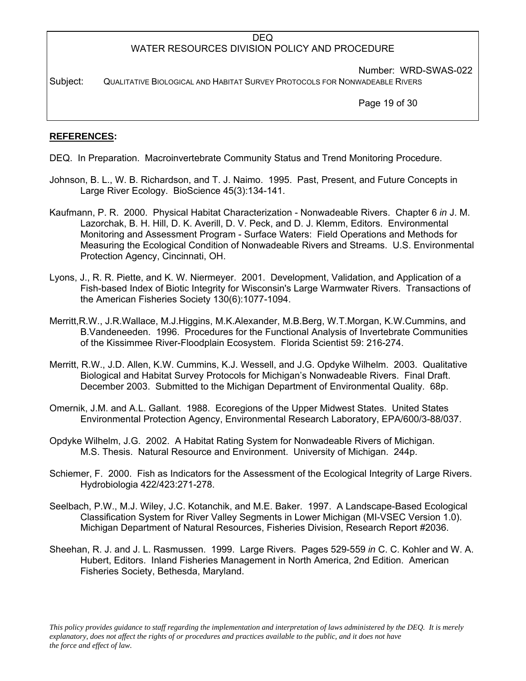Number: WRD-SWAS-022

Subject: QUALITATIVE BIOLOGICAL AND HABITAT SURVEY PROTOCOLS FOR NONWADEABLE RIVERS

Page 19 of 30

### **REFERENCES:**

DEQ. In Preparation. Macroinvertebrate Community Status and Trend Monitoring Procedure.

- Johnson, B. L., W. B. Richardson, and T. J. Naimo. 1995. Past, Present, and Future Concepts in Large River Ecology. BioScience 45(3):134-141.
- Kaufmann, P. R. 2000. Physical Habitat Characterization Nonwadeable Rivers. Chapter 6 *in* J. M. Lazorchak, B. H. Hill, D. K. Averill, D. V. Peck, and D. J. Klemm, Editors. Environmental Monitoring and Assessment Program - Surface Waters: Field Operations and Methods for Measuring the Ecological Condition of Nonwadeable Rivers and Streams. U.S. Environmental Protection Agency, Cincinnati, OH.
- Lyons, J., R. R. Piette, and K. W. Niermeyer. 2001. Development, Validation, and Application of a Fish-based Index of Biotic Integrity for Wisconsin's Large Warmwater Rivers. Transactions of the American Fisheries Society 130(6):1077-1094.
- Merritt,R.W., J.R.Wallace, M.J.Higgins, M.K.Alexander, M.B.Berg, W.T.Morgan, K.W.Cummins, and B.Vandeneeden. 1996. Procedures for the Functional Analysis of Invertebrate Communities of the Kissimmee River-Floodplain Ecosystem. Florida Scientist 59: 216-274.
- Merritt, R.W., J.D. Allen, K.W. Cummins, K.J. Wessell, and J.G. Opdyke Wilhelm. 2003. Qualitative Biological and Habitat Survey Protocols for Michigan's Nonwadeable Rivers. Final Draft. December 2003. Submitted to the Michigan Department of Environmental Quality. 68p.
- Omernik, J.M. and A.L. Gallant. 1988. Ecoregions of the Upper Midwest States. United States Environmental Protection Agency, Environmental Research Laboratory, EPA/600/3-88/037.
- Opdyke Wilhelm, J.G. 2002. A Habitat Rating System for Nonwadeable Rivers of Michigan. M.S. Thesis. Natural Resource and Environment. University of Michigan. 244p.
- Schiemer, F. 2000. Fish as Indicators for the Assessment of the Ecological Integrity of Large Rivers. Hydrobiologia 422/423:271-278.
- Seelbach, P.W., M.J. Wiley, J.C. Kotanchik, and M.E. Baker. 1997. A Landscape-Based Ecological Classification System for River Valley Segments in Lower Michigan (MI-VSEC Version 1.0). Michigan Department of Natural Resources, Fisheries Division, Research Report #2036.
- Sheehan, R. J. and J. L. Rasmussen. 1999. Large Rivers. Pages 529-559 *in* C. C. Kohler and W. A. Hubert, Editors. Inland Fisheries Management in North America, 2nd Edition. American Fisheries Society, Bethesda, Maryland.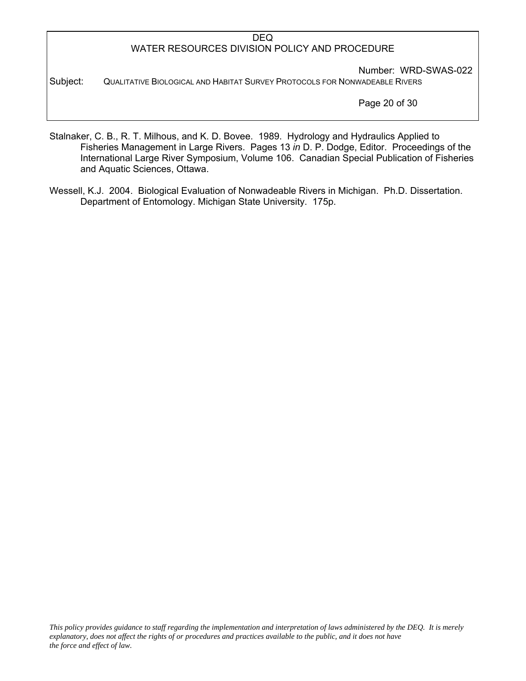Number: WRD-SWAS-022 Subject: QUALITATIVE BIOLOGICAL AND HABITAT SURVEY PROTOCOLS FOR NONWADEABLE RIVERS

Page 20 of 30

- Stalnaker, C. B., R. T. Milhous, and K. D. Bovee. 1989. Hydrology and Hydraulics Applied to Fisheries Management in Large Rivers. Pages 13 *in* D. P. Dodge, Editor. Proceedings of the International Large River Symposium, Volume 106. Canadian Special Publication of Fisheries and Aquatic Sciences, Ottawa.
- Wessell, K.J. 2004. Biological Evaluation of Nonwadeable Rivers in Michigan. Ph.D. Dissertation. Department of Entomology. Michigan State University. 175p.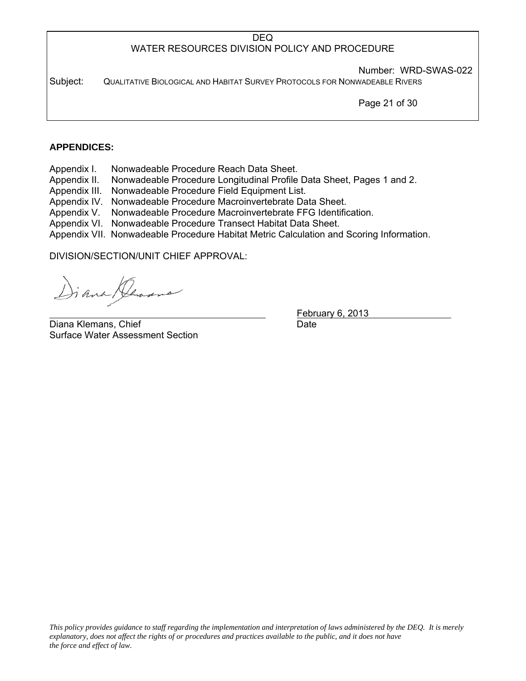Number: WRD-SWAS-022

Subject: QUALITATIVE BIOLOGICAL AND HABITAT SURVEY PROTOCOLS FOR NONWADEABLE RIVERS

Page 21 of 30

## **APPENDICES:**

- Appendix I. Nonwadeable Procedure Reach Data Sheet.
- Appendix II. Nonwadeable Procedure Longitudinal Profile Data Sheet, Pages 1 and 2.
- Appendix III. Nonwadeable Procedure Field Equipment List.
- Appendix IV. Nonwadeable Procedure Macroinvertebrate Data Sheet.
- Appendix V. Nonwadeable Procedure Macroinvertebrate FFG Identification.
- Appendix VI. Nonwadeable Procedure Transect Habitat Data Sheet.
- Appendix VII. Nonwadeable Procedure Habitat Metric Calculation and Scoring Information.

DIVISION/SECTION/UNIT CHIEF APPROVAL:

i ana Den

Diana Klemans, Chief **Diana Communist Chief** Date Date Surface Water Assessment Section

February 6, 2013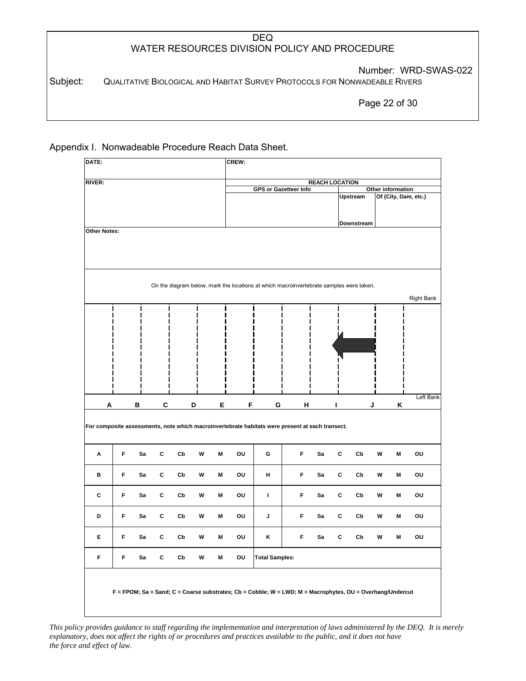Number: WRD-SWAS-022

Subject: QUALITATIVE BIOLOGICAL AND HABITAT SURVEY PROTOCOLS FOR NONWADEABLE RIVERS

Page 22 of 30

Appendix I. Nonwadeable Procedure Reach Data Sheet.

| DATE:               |   |    |   |                         |   |        | CREW: |                                                                                                           |   |                       |   |               |   |                   |                      |
|---------------------|---|----|---|-------------------------|---|--------|-------|-----------------------------------------------------------------------------------------------------------|---|-----------------------|---|---------------|---|-------------------|----------------------|
| <b>RIVER:</b>       |   |    |   |                         |   |        |       |                                                                                                           |   | <b>REACH LOCATION</b> |   |               |   |                   |                      |
|                     |   |    |   |                         |   |        |       | GPS or Gazetteer Info                                                                                     |   |                       |   | Upstream      |   | Other information | Of (City, Dam, etc.) |
|                     |   |    |   |                         |   |        |       |                                                                                                           |   |                       |   |               |   |                   |                      |
|                     |   |    |   |                         |   |        |       |                                                                                                           |   |                       |   | Downstream    |   |                   |                      |
| <b>Other Notes:</b> |   |    |   |                         |   |        |       |                                                                                                           |   |                       |   |               |   |                   |                      |
|                     |   |    |   |                         |   |        |       |                                                                                                           |   |                       |   |               |   |                   |                      |
|                     |   |    |   |                         |   |        |       |                                                                                                           |   |                       |   |               |   |                   |                      |
|                     |   |    |   |                         |   |        |       |                                                                                                           |   |                       |   |               |   |                   |                      |
|                     |   |    |   |                         |   |        |       | On the diagram below, mark the locations at which macroinvertebrate samples were taken.                   |   |                       |   |               |   |                   |                      |
|                     |   |    |   |                         |   |        |       |                                                                                                           |   |                       |   |               |   |                   | <b>Right Bank</b>    |
|                     |   |    |   |                         |   | I<br>п |       |                                                                                                           |   |                       |   |               |   |                   |                      |
|                     |   |    |   |                         |   |        |       |                                                                                                           |   |                       |   |               |   |                   |                      |
|                     |   |    |   |                         |   |        |       |                                                                                                           |   |                       |   |               |   |                   |                      |
|                     |   |    |   |                         |   |        |       |                                                                                                           |   |                       |   |               |   |                   |                      |
|                     |   |    |   |                         |   |        |       |                                                                                                           |   |                       |   |               |   |                   |                      |
|                     |   |    |   |                         |   |        |       |                                                                                                           |   |                       |   |               |   |                   |                      |
|                     |   |    |   |                         |   |        |       |                                                                                                           |   |                       |   |               |   |                   |                      |
| Α                   |   | В  | C |                         | D | Е      | F     | G                                                                                                         | н |                       | ı | J             |   | Κ                 | Left Bank            |
|                     |   |    |   |                         |   |        |       |                                                                                                           |   |                       |   |               |   |                   |                      |
|                     |   |    |   |                         |   |        |       | For composite assessments, note which macroinvertebrate habitats were present at each transect.           |   |                       |   |               |   |                   |                      |
|                     |   |    |   |                         |   |        |       |                                                                                                           |   |                       |   |               |   |                   |                      |
| Α                   | F | Sa | С | Cb                      | W | M      | ou    | G                                                                                                         | F | Sa                    | C | $\mathsf{Cb}$ | W | M                 | ou                   |
|                     | F | Sa |   |                         |   |        |       |                                                                                                           | F |                       |   |               |   |                   |                      |
| в                   |   |    | C | $\mathbf{C} \mathbf{b}$ | W | M      | ou    | н                                                                                                         |   | Sa                    | C | Cb            | W | M                 | ou                   |
| С                   | F | Sa | С | $\mathbf{C} \mathbf{b}$ | W | M      | ou    | T                                                                                                         | F | Sa                    | C | Cb            | W | M                 | ou                   |
|                     |   |    |   |                         |   |        |       |                                                                                                           |   |                       |   |               |   |                   |                      |
| D                   | F | Sa | С | $\mathbf{C} \mathbf{b}$ | W | M      | ou    | J                                                                                                         | F | Sa                    | C | Cb            | W | M                 | ou                   |
| Е                   | F | Sa | С | Cb                      | W | M      | ou    | κ                                                                                                         | F | Sa                    | С | Cb            | W | M                 | ou                   |
|                     |   |    |   |                         |   |        |       |                                                                                                           |   |                       |   |               |   |                   |                      |
| F                   | F | Sa | C | Cb                      | W | M      | ou    | <b>Total Samples:</b>                                                                                     |   |                       |   |               |   |                   |                      |
|                     |   |    |   |                         |   |        |       |                                                                                                           |   |                       |   |               |   |                   |                      |
|                     |   |    |   |                         |   |        |       |                                                                                                           |   |                       |   |               |   |                   |                      |
|                     |   |    |   |                         |   |        |       | F = FPOM; Sa = Sand; C = Coarse substrates; Cb = Cobble; W = LWD; M = Macrophytes, OU = Overhang/Undercut |   |                       |   |               |   |                   |                      |
|                     |   |    |   |                         |   |        |       |                                                                                                           |   |                       |   |               |   |                   |                      |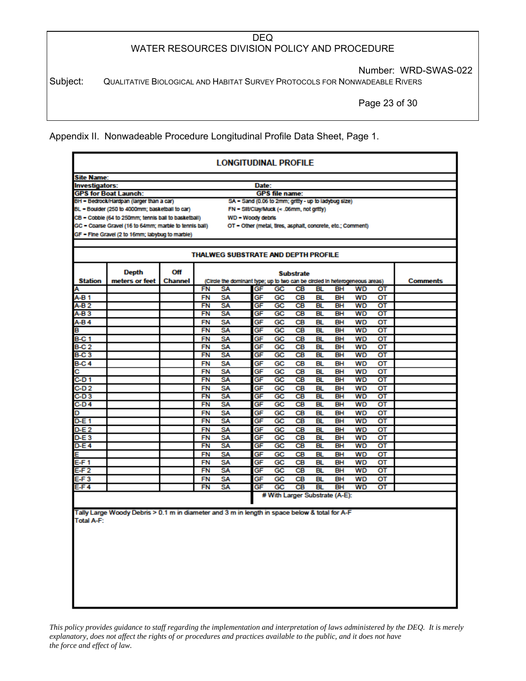Number: WRD-SWAS-022

Subject: QUALITATIVE BIOLOGICAL AND HABITAT SURVEY PROTOCOLS FOR NONWADEABLE RIVERS

Page 23 of 30

Appendix II. Nonwadeable Procedure Longitudinal Profile Data Sheet, Page 1.

|                  | <b>LONGITUDINAL PROFILE</b>                                                                   |                |           |                                                                             |          |                                |                  |           |           |                 |    |          |
|------------------|-----------------------------------------------------------------------------------------------|----------------|-----------|-----------------------------------------------------------------------------|----------|--------------------------------|------------------|-----------|-----------|-----------------|----|----------|
|                  | <b>Site Name:</b>                                                                             |                |           |                                                                             |          |                                |                  |           |           |                 |    |          |
|                  | Investigators:<br>Date:                                                                       |                |           |                                                                             |          |                                |                  |           |           |                 |    |          |
|                  | <b>GPS for Boat Launch:</b>                                                                   |                |           |                                                                             |          | <b>GPS file name:</b>          |                  |           |           |                 |    |          |
|                  | BH - Bedrock/Hardpan (larger than a car)                                                      |                |           | SA - Sand (0.06 to 2mm; gritty - up to ladybug size)                        |          |                                |                  |           |           |                 |    |          |
|                  | BL - Boulder (250 to 4000mm; basketball to car)                                               |                |           | FN = Silt/Clay/Muck (< .06mm, not gritty)                                   |          |                                |                  |           |           |                 |    |          |
|                  | CB - Cobble (64 to 250mm; tennis ball to basketball)                                          |                |           | WD - Woody debris                                                           |          |                                |                  |           |           |                 |    |          |
|                  | GC - Coarse Gravel (16 to 64mm; marble to tennis ball)                                        |                |           | OT - Other (metal, tires, asphalt, concrete, etc.; Comment)                 |          |                                |                  |           |           |                 |    |          |
|                  | GF - Fine Gravel (2 to 16mm; labybug to marble)                                               |                |           |                                                                             |          |                                |                  |           |           |                 |    |          |
|                  |                                                                                               |                |           | <b>THALWEG SUBSTRATE AND DEPTH PROFILE</b>                                  |          |                                |                  |           |           |                 |    |          |
|                  | <b>Depth</b>                                                                                  | Off            |           |                                                                             |          |                                | <b>Substrate</b> |           |           |                 |    |          |
| <b>Station</b>   | meters or feet                                                                                | <b>Channel</b> |           | (Circle the dominant type; up to two can be circled in heterogeneous areas) |          |                                |                  |           |           |                 |    | Comments |
| Α                |                                                                                               |                | FN        | SA                                                                          | GF       | GC                             | CВ               | BL        | BH        | WD              | от |          |
| $A-B1$           |                                                                                               |                | FN        | SΑ                                                                          | GF       | GC                             | CВ               | BL        | BH        | WD              | от |          |
| A-B 2            |                                                                                               |                | <b>FN</b> | SΑ                                                                          | GF       | GC                             | CВ               | <b>BL</b> | BH        | <b>WD</b>       | от |          |
| A-B <sub>3</sub> |                                                                                               |                | FN        | SΑ                                                                          | GF       | GC                             | CВ               | BL        | BH        | WD              | от |          |
| A-B 4            |                                                                                               |                | FN        | SΑ                                                                          | GF       | GC                             | CВ               | BL        | BН        | <b>WD</b>       | от |          |
| в                |                                                                                               |                | FN        | SΑ                                                                          | GF       | GC                             | CВ               | BL        | BH        | <b>WD</b>       | от |          |
| <b>B-C 1</b>     |                                                                                               |                | FN        | SΑ                                                                          | GF       | GC                             | CВ               | BL        | BН        | WD              | ОΤ |          |
| B-C 2            |                                                                                               |                | FN        | SΑ                                                                          | GF       | GC                             | CВ               | BL        | BН        | <b>WD</b>       | от |          |
| <b>B-C3</b>      |                                                                                               |                | <b>FN</b> | SΑ                                                                          | GF       | GC                             | CВ               | <b>BL</b> | BH        | <b>WD</b>       | от |          |
| <b>B-C4</b>      |                                                                                               |                | FN        | SΑ                                                                          | GF       | GC                             | CВ               | BL.       | BН        | WD              | от |          |
| с                |                                                                                               |                | <b>FN</b> | SΑ                                                                          | GF       | GC                             | CВ               | BL        | BH        | WD              | от |          |
| $C-D1$           |                                                                                               |                | FN        | SΑ                                                                          | GF       | GC                             | <b>CB</b>        | <b>BL</b> | <b>BH</b> | WD              | от |          |
| C-D 2            |                                                                                               |                | FN        | SΑ                                                                          | GF       | GC                             | CВ               | BL        | BН        | WD              | от |          |
| $C-D3$           |                                                                                               |                | FN        | SA                                                                          | GF       | GC                             | <b>CB</b>        | BL        | <b>BH</b> | <b>WD</b>       | от |          |
| C-D4             |                                                                                               |                | <b>FN</b> | SΑ                                                                          | GF       | GC                             | CВ               | <b>BL</b> | BH        | <b>WD</b>       | от |          |
| D                |                                                                                               |                | FN        | SΑ                                                                          | GF       | GC                             | CВ               | BL.       | BH        | <b>WD</b>       | от |          |
| D-E 1            |                                                                                               |                | FN        | SΑ                                                                          | GF       | GC                             | <b>CB</b>        | <b>BL</b> | BH        | WD              | от |          |
| D-E 2            |                                                                                               |                | FN        | SΑ                                                                          | GF       | GC                             | CВ               | BL        | BН        | WD              | от |          |
| D-E3             |                                                                                               |                | FN        | SΑ                                                                          | GF       | GC                             | CВ               | BL        | BH        | WD              | OT |          |
| D-E 4            |                                                                                               |                | FN        | SA                                                                          | GF       | GC                             | CВ               | <b>BL</b> | BH        | WD              | от |          |
| E                |                                                                                               |                | FN        | SA                                                                          | GF       | GC                             | CВ               | BL        | <b>BH</b> | <b>WD</b>       | от |          |
| $E-F1$           |                                                                                               |                | FN        | SΑ<br><b>SA</b>                                                             | GF       | GC<br>GC                       | CВ               | BL.       | BH        | <b>WD</b>       | от |          |
| E-F <sub>2</sub> |                                                                                               |                | FN        |                                                                             | GF       |                                | <b>CB</b>        | <b>BL</b> | BH        | WD              | от |          |
| E-F3             |                                                                                               |                | FN        | SΑ                                                                          | GF<br>GF | GC<br>GC                       | CВ               | BL<br>BL  | BH        | <b>WD</b><br>WD | ОΤ |          |
| E-F4             |                                                                                               |                | FN        | SΑ                                                                          |          | # With Larger Substrate (A-E): | CВ               |           | BН        |                 | ОΤ |          |
|                  |                                                                                               |                |           |                                                                             |          |                                |                  |           |           |                 |    |          |
|                  | Tally Large Woody Debris > 0.1 m in diameter and 3 m in length in space below & total for A-F |                |           |                                                                             |          |                                |                  |           |           |                 |    |          |
| Total A-F:       |                                                                                               |                |           |                                                                             |          |                                |                  |           |           |                 |    |          |
|                  |                                                                                               |                |           |                                                                             |          |                                |                  |           |           |                 |    |          |
|                  |                                                                                               |                |           |                                                                             |          |                                |                  |           |           |                 |    |          |
|                  |                                                                                               |                |           |                                                                             |          |                                |                  |           |           |                 |    |          |
|                  |                                                                                               |                |           |                                                                             |          |                                |                  |           |           |                 |    |          |
|                  |                                                                                               |                |           |                                                                             |          |                                |                  |           |           |                 |    |          |
|                  |                                                                                               |                |           |                                                                             |          |                                |                  |           |           |                 |    |          |
|                  |                                                                                               |                |           |                                                                             |          |                                |                  |           |           |                 |    |          |
|                  |                                                                                               |                |           |                                                                             |          |                                |                  |           |           |                 |    |          |
|                  |                                                                                               |                |           |                                                                             |          |                                |                  |           |           |                 |    |          |
|                  |                                                                                               |                |           |                                                                             |          |                                |                  |           |           |                 |    |          |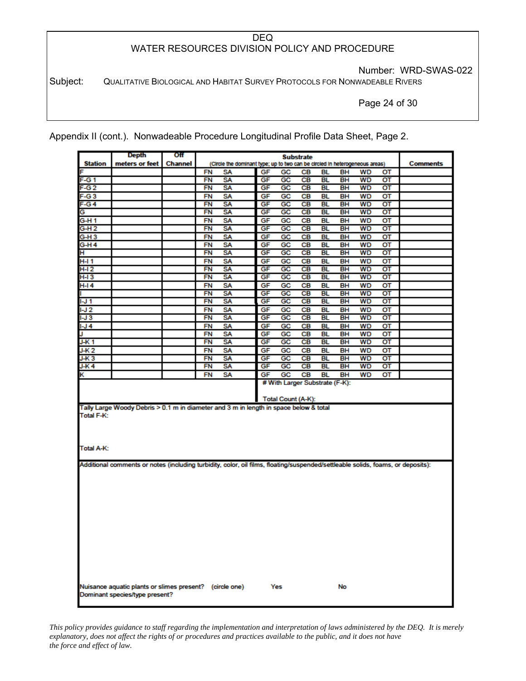Number: WRD-SWAS-022

Subject: QUALITATIVE BIOLOGICAL AND HABITAT SURVEY PROTOCOLS FOR NONWADEABLE RIVERS

Page 24 of 30

Appendix II (cont.). Nonwadeable Procedure Longitudinal Profile Data Sheet, Page 2.

|                                                                                                                                 | Depth                                                                                     | Off            |           |                                                                             |    |                                | <b>Substrate</b> |           |           |           |                        |                 |
|---------------------------------------------------------------------------------------------------------------------------------|-------------------------------------------------------------------------------------------|----------------|-----------|-----------------------------------------------------------------------------|----|--------------------------------|------------------|-----------|-----------|-----------|------------------------|-----------------|
| <b>Station</b>                                                                                                                  | meters or feet                                                                            | <b>Channel</b> |           | (Circle the dominant type; up to two can be circled in heterogeneous areas) |    |                                |                  |           |           |           |                        | <b>Comments</b> |
| F                                                                                                                               |                                                                                           |                | FN        | SA                                                                          | GF | GC                             | CВ               | BL        | BН        | <b>WD</b> | от                     |                 |
| F-G1                                                                                                                            |                                                                                           |                | FN        | <b>SA</b>                                                                   | GF | GC                             | CВ               | BL        | BН        | <b>WD</b> | от                     |                 |
| F-G <sub>2</sub>                                                                                                                |                                                                                           |                | <b>FN</b> | SA                                                                          | GF | GC                             | <b>CB</b>        | BL        | BН        | <b>WD</b> | $\overline{\text{OT}}$ |                 |
| $F-G3$                                                                                                                          |                                                                                           |                | FN        | SΑ                                                                          | GF | GC                             | CВ               | BL        | BH        | <b>WD</b> | от                     |                 |
| $F-G4$                                                                                                                          |                                                                                           |                | FN        | <b>SA</b>                                                                   | GF | GC                             | <b>CB</b>        | <b>BL</b> | <b>BH</b> | <b>WD</b> | $\overline{\text{OT}}$ |                 |
| G                                                                                                                               |                                                                                           |                | FN        | SA                                                                          | GF | GC                             | CВ               | <b>BL</b> | <b>BH</b> | <b>WD</b> | ΟT                     |                 |
| G-H 1                                                                                                                           |                                                                                           |                | FN        | SΑ                                                                          | GF | GC                             | CВ               | BL        | BН        | <b>WD</b> | от                     |                 |
| $G-H2$                                                                                                                          |                                                                                           |                | FN        | <b>SA</b>                                                                   | GF | GC                             | <b>CB</b>        | BL        | BН        | <b>WD</b> | $\overline{\text{OT}}$ |                 |
| G-H3                                                                                                                            |                                                                                           |                | FN        | SΑ                                                                          | GF | GC                             | CВ               | BL        | BН        | WD        | от                     |                 |
| G-H4                                                                                                                            |                                                                                           |                | FN        | SΑ                                                                          | GF | GC                             | CВ               | BL        | BН        | WD        | от                     |                 |
| н                                                                                                                               |                                                                                           |                | FN        | SA                                                                          | GF | GC                             | CВ               | BL        | BH        | <b>WD</b> | от                     |                 |
| <b>H-I1</b>                                                                                                                     |                                                                                           |                | FN        | SA                                                                          | GF | GC                             | <b>CB</b>        | BL        | <b>BH</b> | <b>WD</b> | ОΤ                     |                 |
| $H-I2$                                                                                                                          |                                                                                           |                | <b>FN</b> | <b>SA</b>                                                                   | GF | GC                             | <b>CB</b>        | <b>BL</b> | BH        | <b>WD</b> | $\overline{\text{OT}}$ |                 |
| H-I 3                                                                                                                           |                                                                                           |                | FN        | SA                                                                          | GF | GC                             | CВ               | BL        | BH        | <b>WD</b> | ΟT                     |                 |
| $H-I4$                                                                                                                          |                                                                                           |                | FN        | SA                                                                          | GF | GC                             | CВ               | BL        | BН        | <b>WD</b> | ОT                     |                 |
|                                                                                                                                 |                                                                                           |                | FN        | SA                                                                          | GF | GC                             | CВ               | BL        | BH        | <b>WD</b> | ΟT                     |                 |
| IJ1                                                                                                                             |                                                                                           |                | FN        | <b>SA</b>                                                                   | GF | GC                             | CВ               | BL        | BH        | WD        | σT                     |                 |
| $1 - J$ 2                                                                                                                       |                                                                                           |                | FN        | SA                                                                          | GF | GC                             | CВ               | BL        | BH        | <b>WD</b> | от                     |                 |
| I-J 3                                                                                                                           |                                                                                           |                | FN        | SA                                                                          | GF | GC                             | CВ               | <b>BL</b> | BH        | <b>WD</b> | $\sigma$               |                 |
| $1 - J$ 4                                                                                                                       |                                                                                           |                | FN        | SA                                                                          | GF | GC                             | <b>CB</b>        | BL        | BH        | <b>WD</b> | от                     |                 |
|                                                                                                                                 |                                                                                           |                | FN        | SΑ                                                                          | GF | GC                             | CВ               | BL        | BН        | <b>WD</b> | от                     |                 |
| J-K 1                                                                                                                           |                                                                                           |                | FN        | <b>SA</b>                                                                   | GF | GC                             | CВ               | BL        | BH        | <b>WD</b> | $\overline{\text{OT}}$ |                 |
| J-K 2                                                                                                                           |                                                                                           |                | FN        | SA                                                                          | GF | GC                             | CВ               | BL        | BН        | WD        | от                     |                 |
| J-K3                                                                                                                            |                                                                                           |                | FN        | SA                                                                          | GF | GC                             | CВ               | BL        | BH        | <b>WD</b> | σт                     |                 |
| J-K <sub>4</sub>                                                                                                                |                                                                                           |                | FN        | SA                                                                          | GF | GC                             | CВ               | BL        | BН        | WD        | от                     |                 |
| κ                                                                                                                               |                                                                                           |                | FN        | SA                                                                          | GF | GC                             | CВ               | BL        | BH        | <b>WD</b> | от                     |                 |
|                                                                                                                                 |                                                                                           |                |           |                                                                             |    | # With Larger Substrate (F-K): |                  |           |           |           |                        |                 |
|                                                                                                                                 |                                                                                           |                |           |                                                                             |    | Total Count (A-K):             |                  |           |           |           |                        |                 |
| Tally Large Woody Debris > 0.1 m in diameter and 3 m in length in space below & total<br>Total F-K:<br>Total A-K:               |                                                                                           |                |           |                                                                             |    |                                |                  |           |           |           |                        |                 |
| Additional comments or notes (including turbidity, color, oil films, floating/suspended/settleable solids, foams, or deposits): |                                                                                           |                |           |                                                                             |    |                                |                  |           |           |           |                        |                 |
|                                                                                                                                 |                                                                                           |                |           |                                                                             |    |                                |                  |           |           |           |                        |                 |
|                                                                                                                                 |                                                                                           |                |           |                                                                             |    |                                |                  |           |           |           |                        |                 |
|                                                                                                                                 | Nuisance aquatic plants or slimes present? (circle one)<br>Dominant species/type present? |                |           |                                                                             |    | Yes                            |                  |           | No        |           |                        |                 |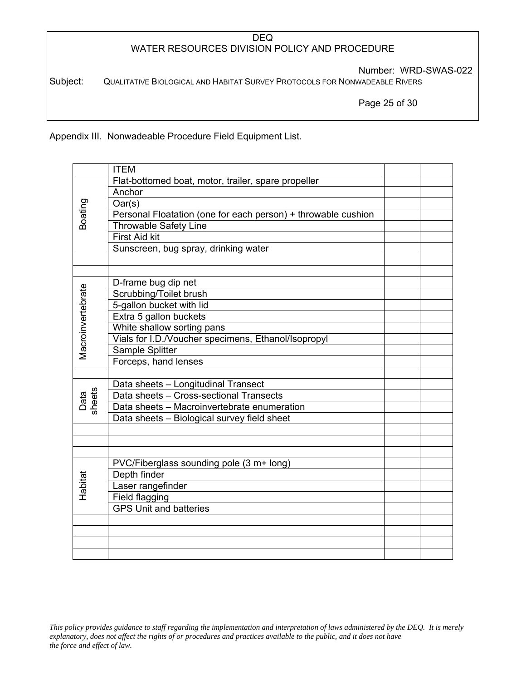Number: WRD-SWAS-022

Subject: QUALITATIVE BIOLOGICAL AND HABITAT SURVEY PROTOCOLS FOR NONWADEABLE RIVERS

Page 25 of 30

Appendix III. Nonwadeable Procedure Field Equipment List.

|                   | <b>ITEM</b>                                                                    |  |
|-------------------|--------------------------------------------------------------------------------|--|
|                   | Flat-bottomed boat, motor, trailer, spare propeller                            |  |
|                   | Anchor                                                                         |  |
| Boating           | Oar(s)                                                                         |  |
|                   | Personal Floatation (one for each person) + throwable cushion                  |  |
|                   | <b>Throwable Safety Line</b>                                                   |  |
|                   | First Aid kit                                                                  |  |
|                   | Sunscreen, bug spray, drinking water                                           |  |
|                   |                                                                                |  |
|                   |                                                                                |  |
|                   | D-frame bug dip net                                                            |  |
| Macroinvertebrate | Scrubbing/Toilet brush                                                         |  |
|                   | 5-gallon bucket with lid                                                       |  |
|                   | Extra 5 gallon buckets                                                         |  |
|                   | White shallow sorting pans                                                     |  |
|                   | Vials for I.D./Voucher specimens, Ethanol/Isopropyl                            |  |
|                   | Sample Splitter                                                                |  |
|                   | Forceps, hand lenses                                                           |  |
|                   |                                                                                |  |
|                   | Data sheets - Longitudinal Transect<br>Data sheets - Cross-sectional Transects |  |
| Data<br>sheets    | Data sheets - Macroinvertebrate enumeration                                    |  |
|                   | Data sheets - Biological survey field sheet                                    |  |
|                   |                                                                                |  |
|                   |                                                                                |  |
|                   |                                                                                |  |
|                   | PVC/Fiberglass sounding pole (3 m+ long)                                       |  |
|                   | Depth finder                                                                   |  |
| Habitat           | Laser rangefinder                                                              |  |
|                   | Field flagging                                                                 |  |
|                   | <b>GPS Unit and batteries</b>                                                  |  |
|                   |                                                                                |  |
|                   |                                                                                |  |
|                   |                                                                                |  |
|                   |                                                                                |  |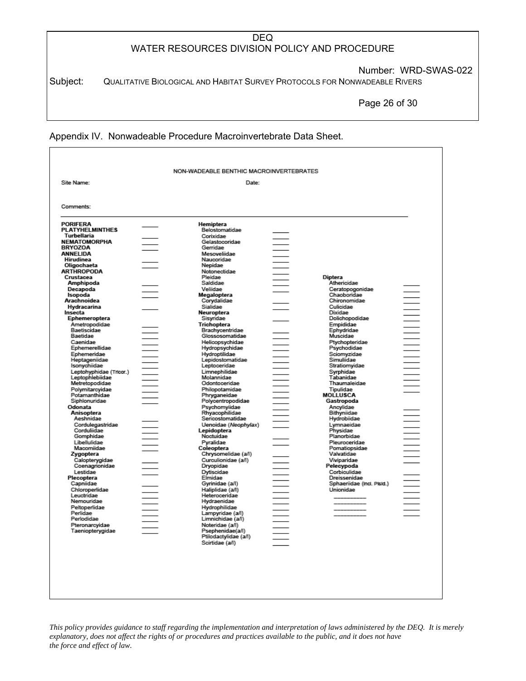Number: WRD-SWAS-022

Subject: QUALITATIVE BIOLOGICAL AND HABITAT SURVEY PROTOCOLS FOR NONWADEABLE RIVERS

Page 26 of 30

#### Appendix IV. Nonwadeable Procedure Macroinvertebrate Data Sheet.

| Comments:<br><b>PORIFERA</b><br>Hemiptera<br>Belostomatidae<br>Turbellaria<br>Corixidae<br>Gelastocoridae<br>Gerridae<br>Mesoveliidae<br>Naucoridae<br>Hirudinea<br>Oligochaeta<br>Nepidae<br>Notonectidae<br>Crustacea<br>Pleidae<br>Diptera<br>Saldidae<br>Athericidae<br>Amphipoda<br>Vellidae<br>Ceratopogonidae<br>Decapoda<br>Chaoboridae<br>Isopoda<br>Megaloptera<br>Arachnoidea<br>Corydalidae<br>Chironomidae<br>Culicidae<br>Hydracarina<br>Sialidae<br>Dixidae<br>Neuroptera<br>Insecta<br>Dolichopodidae<br>Ephemeroptera<br>Sisyridae<br>Ametropodidae<br>Trichoptera<br>Empididae<br>$\frac{1}{1}$<br>Baetiscidae<br>Ephydridae<br>Brachycentridae<br>Baetidae<br>Muscidae<br>Glossosomatidae<br>Caenidae<br>Helicopsychidae<br>Ptychopteridae<br>Ephemerellidae<br>Psychodidae<br>Hydropsychidae<br>Ephemeridae<br>Hydroptilidae<br>Sciomyzidae<br>Heptageniidae<br>Lepidostomatidae<br>Simuliidae<br>Isonychiidae<br>Leptoceridae<br>Stratiomyidae<br>Limnephilidae<br>Leptohyphidae (Tricor.)<br>Syrphidae<br>Molannidae<br>Tabanidae<br>Leptophlebiidae<br>Odontoceridae<br>Thaumaleidae<br>Metretopodidae<br>Polymitarcyidae<br>Philopotamidae<br>Tipulidae<br>Potamanthidae<br>MOLLUSCA<br>Phryganeidae<br>Siphlonuridae<br>Polycentropodidae<br>Gastropoda<br>Odonata<br>Psychomyiidae<br>Ancylidae<br>Rhyacophilidae<br>Anisoptera<br>Bithyniidae<br>Aeshnidae<br>Sericostomatidae<br>Hydrobiidae<br>Cordulegastridae<br>Uenoidae (Neophylax)<br>Lymnaeidae<br>Corduliidae<br>Lepidoptera<br>Physidae<br>Gomphidae<br>Noctuidae<br>Planorbidae<br>Libellulidae<br>Pleuroceridae<br>Pyralidae<br>Macomiidae<br>Coleoptera<br>Pomatiopsidae<br>Chrysomelidae (a/l)<br>Zygoptera<br>Valvatidae<br>Curculionidae (a/l)<br>Calopterygidae<br>Viviparidae<br>Coenagrionidae<br>Dryopidae<br>Pelecypoda<br>Lestidae<br>Corbiculidae<br>Dytiscidae<br>Plecoptera<br>Elmidae<br>Dreissenidae<br>Capniidae<br>Gyrinidae (a/l)<br>Sphaeriidae (Incl. PIsid.)<br>Chloroperlidae<br>Haliplidae (a/l)<br>Unionidae<br>Leuctridae<br>Heteroceridae<br>Nemouridae<br>Hydraenidae<br>Peltoperlidae<br>Hydrophilidae<br>Perlidae<br>Lampyridae (a/l)<br>Perlodidae<br>Limnichidae (a/l)<br>Pteronarcyidae<br>Noteridae (a/l) | Site Name:             | Date: |  |  |
|-----------------------------------------------------------------------------------------------------------------------------------------------------------------------------------------------------------------------------------------------------------------------------------------------------------------------------------------------------------------------------------------------------------------------------------------------------------------------------------------------------------------------------------------------------------------------------------------------------------------------------------------------------------------------------------------------------------------------------------------------------------------------------------------------------------------------------------------------------------------------------------------------------------------------------------------------------------------------------------------------------------------------------------------------------------------------------------------------------------------------------------------------------------------------------------------------------------------------------------------------------------------------------------------------------------------------------------------------------------------------------------------------------------------------------------------------------------------------------------------------------------------------------------------------------------------------------------------------------------------------------------------------------------------------------------------------------------------------------------------------------------------------------------------------------------------------------------------------------------------------------------------------------------------------------------------------------------------------------------------------------------------------------------------------------------------------------------------------------------------------------------------------------------------------------------------------------------------------------------|------------------------|-------|--|--|
|                                                                                                                                                                                                                                                                                                                                                                                                                                                                                                                                                                                                                                                                                                                                                                                                                                                                                                                                                                                                                                                                                                                                                                                                                                                                                                                                                                                                                                                                                                                                                                                                                                                                                                                                                                                                                                                                                                                                                                                                                                                                                                                                                                                                                                   |                        |       |  |  |
|                                                                                                                                                                                                                                                                                                                                                                                                                                                                                                                                                                                                                                                                                                                                                                                                                                                                                                                                                                                                                                                                                                                                                                                                                                                                                                                                                                                                                                                                                                                                                                                                                                                                                                                                                                                                                                                                                                                                                                                                                                                                                                                                                                                                                                   |                        |       |  |  |
| <b>NEMATOMORPHA</b><br><b>BRYOZOA</b><br>ANNELIDA<br><b>ARTHROPODA</b>                                                                                                                                                                                                                                                                                                                                                                                                                                                                                                                                                                                                                                                                                                                                                                                                                                                                                                                                                                                                                                                                                                                                                                                                                                                                                                                                                                                                                                                                                                                                                                                                                                                                                                                                                                                                                                                                                                                                                                                                                                                                                                                                                            | <b>PLATYHELMINTHES</b> |       |  |  |
|                                                                                                                                                                                                                                                                                                                                                                                                                                                                                                                                                                                                                                                                                                                                                                                                                                                                                                                                                                                                                                                                                                                                                                                                                                                                                                                                                                                                                                                                                                                                                                                                                                                                                                                                                                                                                                                                                                                                                                                                                                                                                                                                                                                                                                   |                        |       |  |  |
|                                                                                                                                                                                                                                                                                                                                                                                                                                                                                                                                                                                                                                                                                                                                                                                                                                                                                                                                                                                                                                                                                                                                                                                                                                                                                                                                                                                                                                                                                                                                                                                                                                                                                                                                                                                                                                                                                                                                                                                                                                                                                                                                                                                                                                   |                        |       |  |  |
|                                                                                                                                                                                                                                                                                                                                                                                                                                                                                                                                                                                                                                                                                                                                                                                                                                                                                                                                                                                                                                                                                                                                                                                                                                                                                                                                                                                                                                                                                                                                                                                                                                                                                                                                                                                                                                                                                                                                                                                                                                                                                                                                                                                                                                   |                        |       |  |  |
|                                                                                                                                                                                                                                                                                                                                                                                                                                                                                                                                                                                                                                                                                                                                                                                                                                                                                                                                                                                                                                                                                                                                                                                                                                                                                                                                                                                                                                                                                                                                                                                                                                                                                                                                                                                                                                                                                                                                                                                                                                                                                                                                                                                                                                   |                        |       |  |  |
|                                                                                                                                                                                                                                                                                                                                                                                                                                                                                                                                                                                                                                                                                                                                                                                                                                                                                                                                                                                                                                                                                                                                                                                                                                                                                                                                                                                                                                                                                                                                                                                                                                                                                                                                                                                                                                                                                                                                                                                                                                                                                                                                                                                                                                   |                        |       |  |  |
|                                                                                                                                                                                                                                                                                                                                                                                                                                                                                                                                                                                                                                                                                                                                                                                                                                                                                                                                                                                                                                                                                                                                                                                                                                                                                                                                                                                                                                                                                                                                                                                                                                                                                                                                                                                                                                                                                                                                                                                                                                                                                                                                                                                                                                   |                        |       |  |  |
|                                                                                                                                                                                                                                                                                                                                                                                                                                                                                                                                                                                                                                                                                                                                                                                                                                                                                                                                                                                                                                                                                                                                                                                                                                                                                                                                                                                                                                                                                                                                                                                                                                                                                                                                                                                                                                                                                                                                                                                                                                                                                                                                                                                                                                   |                        |       |  |  |
|                                                                                                                                                                                                                                                                                                                                                                                                                                                                                                                                                                                                                                                                                                                                                                                                                                                                                                                                                                                                                                                                                                                                                                                                                                                                                                                                                                                                                                                                                                                                                                                                                                                                                                                                                                                                                                                                                                                                                                                                                                                                                                                                                                                                                                   |                        |       |  |  |
|                                                                                                                                                                                                                                                                                                                                                                                                                                                                                                                                                                                                                                                                                                                                                                                                                                                                                                                                                                                                                                                                                                                                                                                                                                                                                                                                                                                                                                                                                                                                                                                                                                                                                                                                                                                                                                                                                                                                                                                                                                                                                                                                                                                                                                   |                        |       |  |  |
|                                                                                                                                                                                                                                                                                                                                                                                                                                                                                                                                                                                                                                                                                                                                                                                                                                                                                                                                                                                                                                                                                                                                                                                                                                                                                                                                                                                                                                                                                                                                                                                                                                                                                                                                                                                                                                                                                                                                                                                                                                                                                                                                                                                                                                   |                        |       |  |  |
|                                                                                                                                                                                                                                                                                                                                                                                                                                                                                                                                                                                                                                                                                                                                                                                                                                                                                                                                                                                                                                                                                                                                                                                                                                                                                                                                                                                                                                                                                                                                                                                                                                                                                                                                                                                                                                                                                                                                                                                                                                                                                                                                                                                                                                   |                        |       |  |  |
|                                                                                                                                                                                                                                                                                                                                                                                                                                                                                                                                                                                                                                                                                                                                                                                                                                                                                                                                                                                                                                                                                                                                                                                                                                                                                                                                                                                                                                                                                                                                                                                                                                                                                                                                                                                                                                                                                                                                                                                                                                                                                                                                                                                                                                   |                        |       |  |  |
|                                                                                                                                                                                                                                                                                                                                                                                                                                                                                                                                                                                                                                                                                                                                                                                                                                                                                                                                                                                                                                                                                                                                                                                                                                                                                                                                                                                                                                                                                                                                                                                                                                                                                                                                                                                                                                                                                                                                                                                                                                                                                                                                                                                                                                   |                        |       |  |  |
|                                                                                                                                                                                                                                                                                                                                                                                                                                                                                                                                                                                                                                                                                                                                                                                                                                                                                                                                                                                                                                                                                                                                                                                                                                                                                                                                                                                                                                                                                                                                                                                                                                                                                                                                                                                                                                                                                                                                                                                                                                                                                                                                                                                                                                   |                        |       |  |  |
|                                                                                                                                                                                                                                                                                                                                                                                                                                                                                                                                                                                                                                                                                                                                                                                                                                                                                                                                                                                                                                                                                                                                                                                                                                                                                                                                                                                                                                                                                                                                                                                                                                                                                                                                                                                                                                                                                                                                                                                                                                                                                                                                                                                                                                   |                        |       |  |  |
|                                                                                                                                                                                                                                                                                                                                                                                                                                                                                                                                                                                                                                                                                                                                                                                                                                                                                                                                                                                                                                                                                                                                                                                                                                                                                                                                                                                                                                                                                                                                                                                                                                                                                                                                                                                                                                                                                                                                                                                                                                                                                                                                                                                                                                   |                        |       |  |  |
|                                                                                                                                                                                                                                                                                                                                                                                                                                                                                                                                                                                                                                                                                                                                                                                                                                                                                                                                                                                                                                                                                                                                                                                                                                                                                                                                                                                                                                                                                                                                                                                                                                                                                                                                                                                                                                                                                                                                                                                                                                                                                                                                                                                                                                   |                        |       |  |  |
|                                                                                                                                                                                                                                                                                                                                                                                                                                                                                                                                                                                                                                                                                                                                                                                                                                                                                                                                                                                                                                                                                                                                                                                                                                                                                                                                                                                                                                                                                                                                                                                                                                                                                                                                                                                                                                                                                                                                                                                                                                                                                                                                                                                                                                   |                        |       |  |  |
|                                                                                                                                                                                                                                                                                                                                                                                                                                                                                                                                                                                                                                                                                                                                                                                                                                                                                                                                                                                                                                                                                                                                                                                                                                                                                                                                                                                                                                                                                                                                                                                                                                                                                                                                                                                                                                                                                                                                                                                                                                                                                                                                                                                                                                   |                        |       |  |  |
|                                                                                                                                                                                                                                                                                                                                                                                                                                                                                                                                                                                                                                                                                                                                                                                                                                                                                                                                                                                                                                                                                                                                                                                                                                                                                                                                                                                                                                                                                                                                                                                                                                                                                                                                                                                                                                                                                                                                                                                                                                                                                                                                                                                                                                   |                        |       |  |  |
|                                                                                                                                                                                                                                                                                                                                                                                                                                                                                                                                                                                                                                                                                                                                                                                                                                                                                                                                                                                                                                                                                                                                                                                                                                                                                                                                                                                                                                                                                                                                                                                                                                                                                                                                                                                                                                                                                                                                                                                                                                                                                                                                                                                                                                   |                        |       |  |  |
|                                                                                                                                                                                                                                                                                                                                                                                                                                                                                                                                                                                                                                                                                                                                                                                                                                                                                                                                                                                                                                                                                                                                                                                                                                                                                                                                                                                                                                                                                                                                                                                                                                                                                                                                                                                                                                                                                                                                                                                                                                                                                                                                                                                                                                   |                        |       |  |  |
|                                                                                                                                                                                                                                                                                                                                                                                                                                                                                                                                                                                                                                                                                                                                                                                                                                                                                                                                                                                                                                                                                                                                                                                                                                                                                                                                                                                                                                                                                                                                                                                                                                                                                                                                                                                                                                                                                                                                                                                                                                                                                                                                                                                                                                   |                        |       |  |  |
|                                                                                                                                                                                                                                                                                                                                                                                                                                                                                                                                                                                                                                                                                                                                                                                                                                                                                                                                                                                                                                                                                                                                                                                                                                                                                                                                                                                                                                                                                                                                                                                                                                                                                                                                                                                                                                                                                                                                                                                                                                                                                                                                                                                                                                   |                        |       |  |  |
|                                                                                                                                                                                                                                                                                                                                                                                                                                                                                                                                                                                                                                                                                                                                                                                                                                                                                                                                                                                                                                                                                                                                                                                                                                                                                                                                                                                                                                                                                                                                                                                                                                                                                                                                                                                                                                                                                                                                                                                                                                                                                                                                                                                                                                   |                        |       |  |  |
|                                                                                                                                                                                                                                                                                                                                                                                                                                                                                                                                                                                                                                                                                                                                                                                                                                                                                                                                                                                                                                                                                                                                                                                                                                                                                                                                                                                                                                                                                                                                                                                                                                                                                                                                                                                                                                                                                                                                                                                                                                                                                                                                                                                                                                   |                        |       |  |  |
|                                                                                                                                                                                                                                                                                                                                                                                                                                                                                                                                                                                                                                                                                                                                                                                                                                                                                                                                                                                                                                                                                                                                                                                                                                                                                                                                                                                                                                                                                                                                                                                                                                                                                                                                                                                                                                                                                                                                                                                                                                                                                                                                                                                                                                   |                        |       |  |  |
|                                                                                                                                                                                                                                                                                                                                                                                                                                                                                                                                                                                                                                                                                                                                                                                                                                                                                                                                                                                                                                                                                                                                                                                                                                                                                                                                                                                                                                                                                                                                                                                                                                                                                                                                                                                                                                                                                                                                                                                                                                                                                                                                                                                                                                   |                        |       |  |  |
|                                                                                                                                                                                                                                                                                                                                                                                                                                                                                                                                                                                                                                                                                                                                                                                                                                                                                                                                                                                                                                                                                                                                                                                                                                                                                                                                                                                                                                                                                                                                                                                                                                                                                                                                                                                                                                                                                                                                                                                                                                                                                                                                                                                                                                   |                        |       |  |  |
|                                                                                                                                                                                                                                                                                                                                                                                                                                                                                                                                                                                                                                                                                                                                                                                                                                                                                                                                                                                                                                                                                                                                                                                                                                                                                                                                                                                                                                                                                                                                                                                                                                                                                                                                                                                                                                                                                                                                                                                                                                                                                                                                                                                                                                   |                        |       |  |  |
|                                                                                                                                                                                                                                                                                                                                                                                                                                                                                                                                                                                                                                                                                                                                                                                                                                                                                                                                                                                                                                                                                                                                                                                                                                                                                                                                                                                                                                                                                                                                                                                                                                                                                                                                                                                                                                                                                                                                                                                                                                                                                                                                                                                                                                   |                        |       |  |  |
|                                                                                                                                                                                                                                                                                                                                                                                                                                                                                                                                                                                                                                                                                                                                                                                                                                                                                                                                                                                                                                                                                                                                                                                                                                                                                                                                                                                                                                                                                                                                                                                                                                                                                                                                                                                                                                                                                                                                                                                                                                                                                                                                                                                                                                   |                        |       |  |  |
|                                                                                                                                                                                                                                                                                                                                                                                                                                                                                                                                                                                                                                                                                                                                                                                                                                                                                                                                                                                                                                                                                                                                                                                                                                                                                                                                                                                                                                                                                                                                                                                                                                                                                                                                                                                                                                                                                                                                                                                                                                                                                                                                                                                                                                   |                        |       |  |  |
|                                                                                                                                                                                                                                                                                                                                                                                                                                                                                                                                                                                                                                                                                                                                                                                                                                                                                                                                                                                                                                                                                                                                                                                                                                                                                                                                                                                                                                                                                                                                                                                                                                                                                                                                                                                                                                                                                                                                                                                                                                                                                                                                                                                                                                   |                        |       |  |  |
|                                                                                                                                                                                                                                                                                                                                                                                                                                                                                                                                                                                                                                                                                                                                                                                                                                                                                                                                                                                                                                                                                                                                                                                                                                                                                                                                                                                                                                                                                                                                                                                                                                                                                                                                                                                                                                                                                                                                                                                                                                                                                                                                                                                                                                   |                        |       |  |  |
|                                                                                                                                                                                                                                                                                                                                                                                                                                                                                                                                                                                                                                                                                                                                                                                                                                                                                                                                                                                                                                                                                                                                                                                                                                                                                                                                                                                                                                                                                                                                                                                                                                                                                                                                                                                                                                                                                                                                                                                                                                                                                                                                                                                                                                   |                        |       |  |  |
|                                                                                                                                                                                                                                                                                                                                                                                                                                                                                                                                                                                                                                                                                                                                                                                                                                                                                                                                                                                                                                                                                                                                                                                                                                                                                                                                                                                                                                                                                                                                                                                                                                                                                                                                                                                                                                                                                                                                                                                                                                                                                                                                                                                                                                   |                        |       |  |  |
|                                                                                                                                                                                                                                                                                                                                                                                                                                                                                                                                                                                                                                                                                                                                                                                                                                                                                                                                                                                                                                                                                                                                                                                                                                                                                                                                                                                                                                                                                                                                                                                                                                                                                                                                                                                                                                                                                                                                                                                                                                                                                                                                                                                                                                   |                        |       |  |  |
|                                                                                                                                                                                                                                                                                                                                                                                                                                                                                                                                                                                                                                                                                                                                                                                                                                                                                                                                                                                                                                                                                                                                                                                                                                                                                                                                                                                                                                                                                                                                                                                                                                                                                                                                                                                                                                                                                                                                                                                                                                                                                                                                                                                                                                   |                        |       |  |  |
|                                                                                                                                                                                                                                                                                                                                                                                                                                                                                                                                                                                                                                                                                                                                                                                                                                                                                                                                                                                                                                                                                                                                                                                                                                                                                                                                                                                                                                                                                                                                                                                                                                                                                                                                                                                                                                                                                                                                                                                                                                                                                                                                                                                                                                   |                        |       |  |  |
|                                                                                                                                                                                                                                                                                                                                                                                                                                                                                                                                                                                                                                                                                                                                                                                                                                                                                                                                                                                                                                                                                                                                                                                                                                                                                                                                                                                                                                                                                                                                                                                                                                                                                                                                                                                                                                                                                                                                                                                                                                                                                                                                                                                                                                   |                        |       |  |  |
|                                                                                                                                                                                                                                                                                                                                                                                                                                                                                                                                                                                                                                                                                                                                                                                                                                                                                                                                                                                                                                                                                                                                                                                                                                                                                                                                                                                                                                                                                                                                                                                                                                                                                                                                                                                                                                                                                                                                                                                                                                                                                                                                                                                                                                   |                        |       |  |  |
|                                                                                                                                                                                                                                                                                                                                                                                                                                                                                                                                                                                                                                                                                                                                                                                                                                                                                                                                                                                                                                                                                                                                                                                                                                                                                                                                                                                                                                                                                                                                                                                                                                                                                                                                                                                                                                                                                                                                                                                                                                                                                                                                                                                                                                   |                        |       |  |  |
|                                                                                                                                                                                                                                                                                                                                                                                                                                                                                                                                                                                                                                                                                                                                                                                                                                                                                                                                                                                                                                                                                                                                                                                                                                                                                                                                                                                                                                                                                                                                                                                                                                                                                                                                                                                                                                                                                                                                                                                                                                                                                                                                                                                                                                   |                        |       |  |  |
|                                                                                                                                                                                                                                                                                                                                                                                                                                                                                                                                                                                                                                                                                                                                                                                                                                                                                                                                                                                                                                                                                                                                                                                                                                                                                                                                                                                                                                                                                                                                                                                                                                                                                                                                                                                                                                                                                                                                                                                                                                                                                                                                                                                                                                   |                        |       |  |  |
| Taeniopterygidae<br>Psephenidae(a/l)                                                                                                                                                                                                                                                                                                                                                                                                                                                                                                                                                                                                                                                                                                                                                                                                                                                                                                                                                                                                                                                                                                                                                                                                                                                                                                                                                                                                                                                                                                                                                                                                                                                                                                                                                                                                                                                                                                                                                                                                                                                                                                                                                                                              |                        |       |  |  |
| Ptilodactylidae (a/l)                                                                                                                                                                                                                                                                                                                                                                                                                                                                                                                                                                                                                                                                                                                                                                                                                                                                                                                                                                                                                                                                                                                                                                                                                                                                                                                                                                                                                                                                                                                                                                                                                                                                                                                                                                                                                                                                                                                                                                                                                                                                                                                                                                                                             |                        |       |  |  |
| Scirtidae (a/l)                                                                                                                                                                                                                                                                                                                                                                                                                                                                                                                                                                                                                                                                                                                                                                                                                                                                                                                                                                                                                                                                                                                                                                                                                                                                                                                                                                                                                                                                                                                                                                                                                                                                                                                                                                                                                                                                                                                                                                                                                                                                                                                                                                                                                   |                        |       |  |  |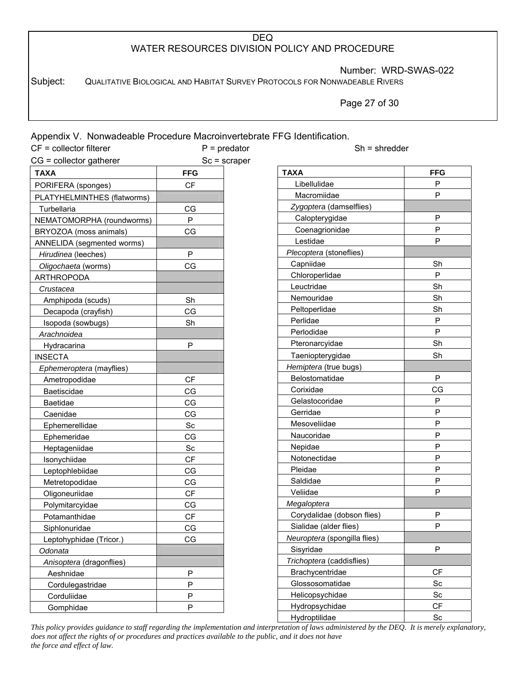Number: WRD-SWAS-022

Subject: QUALITATIVE BIOLOGICAL AND HABITAT SURVEY PROTOCOLS FOR NONWADEABLE RIVERS

Page 27 of 30

| Appendix V. Nonwadeable Procedure Macroinvertebrate FFG Identification. |              |                              |                 |
|-------------------------------------------------------------------------|--------------|------------------------------|-----------------|
| $CF = collector filterer$                                               |              | $P =$ predator               | $Sh =$ shredder |
| $CG = collector gather$                                                 |              | $Sc = \text{scraper}$        |                 |
| <b>TAXA</b>                                                             | <b>FFG</b>   | <b>TAXA</b>                  | <b>FFG</b>      |
| PORIFERA (sponges)                                                      | <b>CF</b>    | Libellulidae                 | P               |
| PLATYHELMINTHES (flatworms)                                             |              | Macromiidae                  | P               |
| Turbellaria                                                             | CG           | Zygoptera (damselflies)      |                 |
| NEMATOMORPHA (roundworms)                                               | P            | Calopterygidae               | $\sf P$         |
| BRYOZOA (moss animals)                                                  | CG           | Coenagrionidae               | P               |
| ANNELIDA (segmented worms)                                              |              | Lestidae                     | P               |
| Hirudinea (leeches)                                                     | ${\sf P}$    | Plecoptera (stoneflies)      |                 |
| Oligochaeta (worms)                                                     | CG           | Capniidae                    | Sh              |
| <b>ARTHROPODA</b>                                                       |              | Chloroperlidae               | ${\sf P}$       |
| Crustacea                                                               |              | Leuctridae                   | Sh              |
| Amphipoda (scuds)                                                       | Sh           | Nemouridae                   | Sh              |
| Decapoda (crayfish)                                                     | CG           | Peltoperlidae                | Sh              |
| Isopoda (sowbugs)                                                       | Sh           | Perlidae                     | P               |
| Arachnoidea                                                             |              | Perlodidae                   | $\mathsf P$     |
| Hydracarina                                                             | P            | Pteronarcyidae               | Sh              |
| <b>INSECTA</b>                                                          |              | Taeniopterygidae             | Sh              |
| Ephemeroptera (mayflies)                                                |              | Hemiptera (true bugs)        |                 |
| Ametropodidae                                                           | CF           | Belostomatidae               | $\mathsf{P}$    |
| Baetiscidae                                                             | CG           | Corixidae                    | CG              |
| Baetidae                                                                | CG           | Gelastocoridae               | ${\sf P}$       |
| Caenidae                                                                | CG           | Gerridae                     | $\mathsf P$     |
| Ephemerellidae                                                          | Sc           | Mesoveliidae                 | ${\sf P}$       |
| Ephemeridae                                                             | CG           | Naucoridae                   | ${\sf P}$       |
| Heptageniidae                                                           | Sc           | Nepidae                      | P               |
| Isonychiidae                                                            | CF           | Notonectidae                 | P               |
| Leptophlebiidae                                                         | CG           | Pleidae                      | $\mathsf P$     |
| Metretopodidae                                                          | CG           | Saldidae                     | P               |
| Oligoneuriidae                                                          | CF           | Veliidae                     | P               |
| Polymitarcyidae                                                         | CG           | Megaloptera                  |                 |
| Potamanthidae                                                           | CF           | Corydalidae (dobson flies)   | Ρ               |
| Siphlonuridae                                                           | CG           | Sialidae (alder flies)       | P               |
| Leptohyphidae (Tricor.)                                                 | CG           | Neuroptera (spongilla flies) |                 |
| Odonata                                                                 |              | Sisyridae                    | $\sf P$         |
| Anisoptera (dragonflies)                                                |              | Trichoptera (caddisflies)    |                 |
| Aeshnidae                                                               | P            | Brachycentridae              | CF              |
| Cordulegastridae                                                        | P            | Glossosomatidae              | Sc              |
| Corduliidae                                                             | $\mathsf{P}$ | Helicopsychidae              | Sc              |
| Gomphidae                                                               | ${\sf P}$    | Hydropsychidae               | CF              |
|                                                                         |              | Hydroptilidae                | Sc              |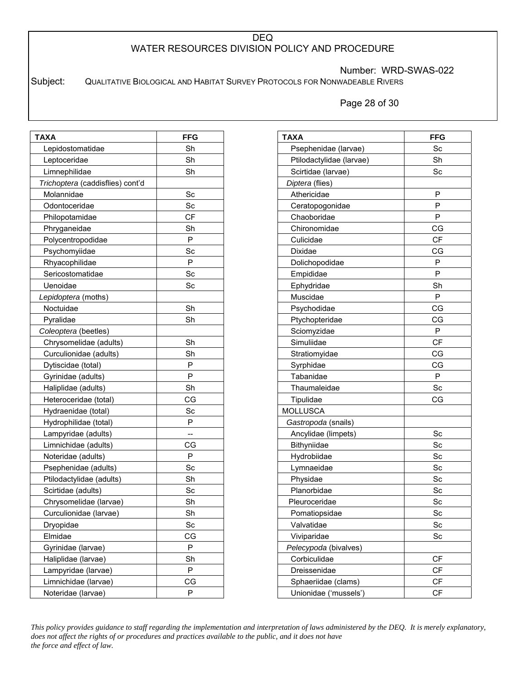Number: WRD-SWAS-022

Subject: QUALITATIVE BIOLOGICAL AND HABITAT SURVEY PROTOCOLS FOR NONWADEABLE RIVERS

Page 28 of 30

| <b>TAXA</b>                      | <b>FFG</b> |
|----------------------------------|------------|
| Lepidostomatidae                 | Sh         |
| Leptoceridae                     | Sh         |
| Limnephilidae                    | Sh         |
| Trichoptera (caddisflies) cont'd |            |
| Molannidae                       | Sc         |
| Odontoceridae                    | Sc         |
| Philopotamidae                   | СF         |
| Phryganeidae                     | Sh         |
| Polycentropodidae                | P          |
| Psychomyiidae                    | Sc         |
| Rhyacophilidae                   | P          |
| Sericostomatidae                 | Sc         |
| Uenoidae                         | Sc         |
| Lepidoptera (moths)              |            |
| Noctuidae                        | Sh         |
| Pyralidae                        | Sh         |
| Coleoptera (beetles)             |            |
| Chrysomelidae (adults)           | Sh         |
| Curculionidae (adults)           | Sh         |
| Dytiscidae (total)               | P          |
| Gyrinidae (adults)               | P          |
| Haliplidae (adults)              | Sh         |
| Heteroceridae (total)            | CG         |
| Hydraenidae (total)              | Sc         |
| Hydrophilidae (total)            | P          |
| Lampyridae (adults)              | --         |
| Limnichidae (adults)             | СG         |
| Noteridae (adults)               | P          |
| Psephenidae (adults)             | Sc         |
| Ptilodactylidae (adults)         | Sh         |
| Scirtidae (adults)               | Sc         |
| Chrysomelidae (larvae)           | Sh         |
| Curculionidae (larvae)           | Sh         |
| Dryopidae                        | Sc         |
| Elmidae                          | CG         |
| Gyrinidae (larvae)               | Ρ          |
| Haliplidae (larvae)              | Sh         |
| Lampyridae (larvae)              | P          |
| Limnichidae (larvae)             | СG         |
| Noteridae (larvae)               | Ρ          |

| TAXA                     | <b>FFG</b> |
|--------------------------|------------|
| Psephenidae (larvae)     | Sc         |
| Ptilodactylidae (larvae) | Sh         |
| Scirtidae (larvae)       | Sc         |
| Diptera (flies)          |            |
| Athericidae              | P          |
| Ceratopogonidae          | P          |
| Chaoboridae              | P          |
| Chironomidae             | СG         |
| Culicidae                | <b>CF</b>  |
| Dixidae                  | CG         |
| Dolichopodidae           | P          |
| Empididae                | P          |
| Ephydridae               | Sh         |
| Muscidae                 | P          |
| Psychodidae              | CG         |
| Ptychopteridae           | СG         |
| Sciomyzidae              | P          |
| Simuliidae               | <b>CF</b>  |
| Stratiomyidae            | CG         |
| Syrphidae                | CG         |
| Tabanidae                | P          |
| Thaumaleidae             | Sc         |
| Tipulidae                | СG         |
| <b>MOLLUSCA</b>          |            |
| Gastropoda (snails)      |            |
| Ancylidae (limpets)      | Sc         |
| Bithyniidae              | Sc         |
| Hydrobiidae              | Sc         |
| Lymnaeidae               | Sc         |
| Physidae                 | Sc         |
| Planorbidae              | Sc         |
| Pleuroceridae            | Sc         |
| Pomatiopsidae            | Sc         |
| Valvatidae               | Sc         |
| Viviparidae              | Sc         |
| Pelecypoda (bivalves)    |            |
| Corbiculidae             | <b>CF</b>  |
| Dreissenidae             | CF         |
| Sphaeriidae (clams)      | СF         |
| Unionidae ('mussels')    | CF         |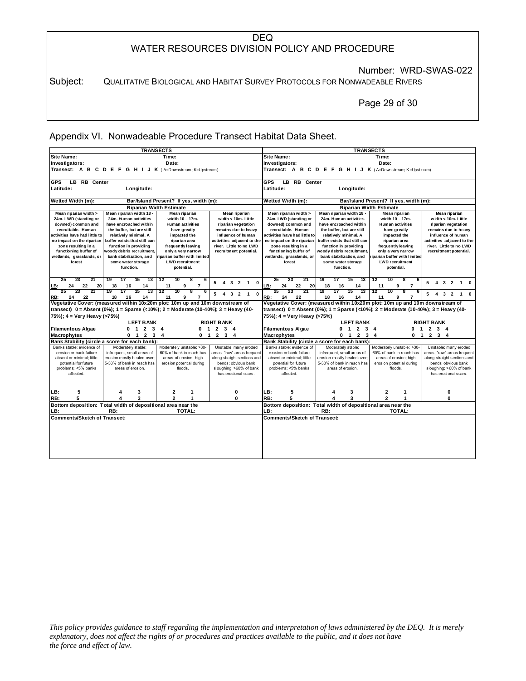Number: WRD-SWAS-022

Subject: QUALITATIVE BIOLOGICAL AND HABITAT SURVEY PROTOCOLS FOR NONWADEABLE RIVERS

Page 29 of 30

Appendix VI. Nonwadeable Procedure Transect Habitat Data Sheet.

|                                              |                                                                                                | <b>TRANSECTS</b>                         |                                                   | <b>TRANSECTS</b>                                                                                                                                                  |                                                                     |                                          |                                                   |  |  |  |  |  |  |  |  |  |
|----------------------------------------------|------------------------------------------------------------------------------------------------|------------------------------------------|---------------------------------------------------|-------------------------------------------------------------------------------------------------------------------------------------------------------------------|---------------------------------------------------------------------|------------------------------------------|---------------------------------------------------|--|--|--|--|--|--|--|--|--|
| <b>Site Name:</b>                            |                                                                                                | Time:                                    |                                                   | <b>Site Name:</b><br>Time:                                                                                                                                        |                                                                     |                                          |                                                   |  |  |  |  |  |  |  |  |  |
| Investigators:                               |                                                                                                | Date:                                    |                                                   | Investigators:                                                                                                                                                    |                                                                     | Date:                                    |                                                   |  |  |  |  |  |  |  |  |  |
|                                              | Transect: A B C D E F G H I J K (A=Downstream; K=Upstream)                                     |                                          |                                                   | Transect: A B C D E F G H I J K (A=Downstream; K=Upstream)                                                                                                        |                                                                     |                                          |                                                   |  |  |  |  |  |  |  |  |  |
|                                              |                                                                                                |                                          |                                                   |                                                                                                                                                                   |                                                                     |                                          |                                                   |  |  |  |  |  |  |  |  |  |
| <b>GPS</b><br><b>LB RB Center</b>            |                                                                                                |                                          |                                                   | <b>GPS</b><br>LB.<br><b>RB</b> Center                                                                                                                             |                                                                     |                                          |                                                   |  |  |  |  |  |  |  |  |  |
| Latitude:                                    | Longitude:                                                                                     |                                          |                                                   | Latitude:<br>Longitude:                                                                                                                                           |                                                                     |                                          |                                                   |  |  |  |  |  |  |  |  |  |
| Wetted Width (m):                            |                                                                                                | Bar/Island Present? If yes, width (m):   |                                                   | Wetted Width (m):<br>Bar/Island Present? If yes, width (m):                                                                                                       |                                                                     |                                          |                                                   |  |  |  |  |  |  |  |  |  |
|                                              |                                                                                                | <b>Riparian Width Estimate</b>           |                                                   | <b>Riparian Width Estimate</b>                                                                                                                                    |                                                                     |                                          |                                                   |  |  |  |  |  |  |  |  |  |
| Mean riparian width >                        | Mean riparian width 18 -                                                                       | <b>Mean riparian</b>                     | Mean riparian                                     | Mean riparian width >                                                                                                                                             | Mean riparian width 18 -                                            | <b>Mean riparian</b>                     | Mean riparian                                     |  |  |  |  |  |  |  |  |  |
| 24m. LWD (standing or                        | 24m. Human activities                                                                          | width 10 - 17m.                          | width $< 10m$ . Little                            | 24m. LWD (standing or                                                                                                                                             | 24m. Human activities                                               | width 10 - 17m.                          | width $< 10m$ . Little                            |  |  |  |  |  |  |  |  |  |
| downed) common and                           | have encroached within                                                                         | <b>Human activities</b>                  | riparian vegetation                               | downed) common and                                                                                                                                                | have encroached within                                              | <b>Human activities</b>                  | riparian vegetation                               |  |  |  |  |  |  |  |  |  |
| recruitable. Human                           | the buffer, but are still                                                                      | have greatly                             | remains due to heavy                              | recruitable. Human                                                                                                                                                | the buffer, but are still                                           | have greatly                             | remains due to heavy                              |  |  |  |  |  |  |  |  |  |
| activities have had little to                | relatively minimal. A                                                                          | impacted the                             | influence of human                                | activities have had little to                                                                                                                                     | relatively minimal. A                                               | impacted the                             | influence of human                                |  |  |  |  |  |  |  |  |  |
| no impact on the riparian                    | buffer exists that still can                                                                   | riparian area                            | activities adjacent to the                        | no impact on the riparian                                                                                                                                         | buffer exists that still can                                        | riparian area                            | activities adjacent to the                        |  |  |  |  |  |  |  |  |  |
| zone resulting in a<br>functioning buffer of | function in providing<br>woody debris recruitment,                                             | frequently leaving<br>only a very narrow | river. Little to no LWD<br>recruitment potential. | zone resulting in a<br>functioning buffer of                                                                                                                      | function in providing<br>woody debris recruitment,                  | frequently leaving<br>only a very narrow | river. Little to no LWD<br>recruitment potential. |  |  |  |  |  |  |  |  |  |
| wetlands, grasslands, or                     | bank stabilization, and                                                                        | riparian buffer with limited             |                                                   | wetlands, grasslands, or                                                                                                                                          | bank stabilization, and                                             | riparian buffer with limited             |                                                   |  |  |  |  |  |  |  |  |  |
| forest                                       | some water storage                                                                             | <b>LWD recruitment</b>                   |                                                   | forest                                                                                                                                                            | some water storage                                                  | <b>LWD</b> recruitment                   |                                                   |  |  |  |  |  |  |  |  |  |
|                                              | function.                                                                                      | potential.                               |                                                   |                                                                                                                                                                   | function.                                                           | potential.                               |                                                   |  |  |  |  |  |  |  |  |  |
|                                              |                                                                                                |                                          |                                                   |                                                                                                                                                                   |                                                                     |                                          |                                                   |  |  |  |  |  |  |  |  |  |
| 25<br>23<br>21                               | 19<br>17<br>15<br>13                                                                           | 12<br>10<br>8<br>6                       | 5<br>4 3 2 1 0                                    | 23<br>25<br>21                                                                                                                                                    | $\overline{13}$<br>19<br>17<br>15                                   | 12<br>10<br>8<br>6                       | 5 4 3 2 1 0                                       |  |  |  |  |  |  |  |  |  |
| 24<br>22<br><u>LB:</u>                       | 20<br>18<br>16<br>14                                                                           | 9<br>$\overline{7}$<br>11                |                                                   | 22<br>LB:<br>24<br>20                                                                                                                                             | 18<br>16<br>14                                                      | $\overline{7}$<br>11<br>9                |                                                   |  |  |  |  |  |  |  |  |  |
| 23<br>21                                     | 19<br>17<br>15<br>13                                                                           | 12<br>10<br>8<br>6                       | 5<br>4 3 2 1 0                                    | 23<br>21                                                                                                                                                          | 19<br>15<br>17<br>13                                                | 12<br>10                                 | 5<br>4 3 2 1 0                                    |  |  |  |  |  |  |  |  |  |
| 22<br>24<br>RB:                              | 18<br>14<br>16<br>Vegetative Cover: (measured within 10x20m plot: 10m up and 10m downstream of | 11<br>9<br>$\overline{7}$                |                                                   | 24<br>22<br>RB:                                                                                                                                                   | 18<br>16<br>14                                                      | $\overline{7}$<br>11<br>9                |                                                   |  |  |  |  |  |  |  |  |  |
|                                              |                                                                                                |                                          |                                                   | Vegetative Cover: (measured within 10x20m plot: 10m up and 10m downstream of                                                                                      |                                                                     |                                          |                                                   |  |  |  |  |  |  |  |  |  |
|                                              | transect) $0 =$ Absent (0%); 1 = Sparse (<10%); 2 = Moderate (10-40%); 3 = Heavy (40-          |                                          |                                                   | transect) $0 =$ Absent (0%); 1 = Sparse (<10%); 2 = Moderate (10-40%); 3 = Heavy (40-                                                                             |                                                                     |                                          |                                                   |  |  |  |  |  |  |  |  |  |
| 75%); 4 = Very Heavy (>75%)                  |                                                                                                |                                          |                                                   | 75%); 4 = Very Heavy (>75%)                                                                                                                                       |                                                                     |                                          |                                                   |  |  |  |  |  |  |  |  |  |
|                                              | <b>LEFT BANK</b>                                                                               |                                          | <b>RIGHT BANK</b>                                 | <b>LEFT BANK</b><br><b>RIGHT BANK</b><br><b>Filamentous Algae</b><br>$0$ 1 2 3 4<br>1 2 3 4<br>O.                                                                 |                                                                     |                                          |                                                   |  |  |  |  |  |  |  |  |  |
| <b>Filamentous Algae</b>                     | $0$ 1 2 3 4                                                                                    |                                          | $0$ 1 2 3 4                                       |                                                                                                                                                                   |                                                                     |                                          |                                                   |  |  |  |  |  |  |  |  |  |
| <b>Macrophytes</b>                           | $0 \quad 1 \quad 2$                                                                            | $3^{\circ}$<br>4<br>0 <sub>1</sub>       | $2 \quad 3 \quad 4$                               | $2 \quad 3 \quad 4$<br>Macrophytes<br>0 <sub>1</sub><br>2 <sub>3</sub><br>$\overline{4}$<br>0<br>$\overline{1}$<br>Bank Stability (circle a score for each bank): |                                                                     |                                          |                                                   |  |  |  |  |  |  |  |  |  |
| Banks stable: evidence of                    | Bank Stability (circle a score for each bank):                                                 |                                          |                                                   |                                                                                                                                                                   |                                                                     |                                          |                                                   |  |  |  |  |  |  |  |  |  |
| erosion or bank failure                      | Moderately stable;<br>infrequent, small areas of                                               | Moderately unstable; >30-                |                                                   |                                                                                                                                                                   |                                                                     |                                          |                                                   |  |  |  |  |  |  |  |  |  |
| absent or minimal: little                    |                                                                                                |                                          | Unstable; many eroded                             | Banks stable: evidence of                                                                                                                                         | Moderately stable;                                                  | Moderately unstable; >30-                | Unstable; many eroded                             |  |  |  |  |  |  |  |  |  |
|                                              |                                                                                                | 60% of bank in reach has                 | areas; "raw" areas frequent                       | erosion or bank failure                                                                                                                                           | infrequent, small areas of                                          | 60% of bank in reach has                 | areas; "raw" areas frequent                       |  |  |  |  |  |  |  |  |  |
|                                              | erosion mostly healed over;                                                                    | areas of erosion; high                   | along straight sections and                       | absent or minimal: little                                                                                                                                         | erosion mostly healed over;                                         | areas of erosion; high                   | along straight sections and                       |  |  |  |  |  |  |  |  |  |
| potential for future                         | 5-30% of bank in reach has<br>areas of erosion.                                                | erosion potential during<br>floods.      | bends; obvious bank<br>sloughing; >60% of bank    | potential for future<br>problems; <5% banks                                                                                                                       | 5-30% of bank in reach has<br>areas of erosion.                     | erosion potential during<br>floods.      | bends; obvious bank<br>sloughing; >60% of bank    |  |  |  |  |  |  |  |  |  |
| problems; <5% banks<br>affected.             |                                                                                                |                                          | has erosional scars.                              | affected.                                                                                                                                                         |                                                                     |                                          | has erosional scars.                              |  |  |  |  |  |  |  |  |  |
|                                              |                                                                                                |                                          |                                                   |                                                                                                                                                                   |                                                                     |                                          |                                                   |  |  |  |  |  |  |  |  |  |
|                                              |                                                                                                |                                          |                                                   |                                                                                                                                                                   |                                                                     |                                          |                                                   |  |  |  |  |  |  |  |  |  |
| 5<br>LB:                                     | 3                                                                                              | 2<br>1                                   | 0                                                 | 5<br>LB:                                                                                                                                                          | 3<br>4                                                              | 2<br>1                                   | 0                                                 |  |  |  |  |  |  |  |  |  |
| 5<br>RB:                                     | 3                                                                                              | $\mathbf{z}$<br>$\mathbf{1}$             | 0                                                 | 5<br>RB:                                                                                                                                                          | $\mathbf{a}$                                                        | $\overline{\phantom{a}}$<br>$\mathbf{1}$ | O                                                 |  |  |  |  |  |  |  |  |  |
| LB:                                          | Bottom deposition: Total width of depositional area near the<br>RB:                            | TOTAL:                                   |                                                   | LB:                                                                                                                                                               | Bottom deposition: Total width of depositional area near the<br>RB: | TOTAL:                                   |                                                   |  |  |  |  |  |  |  |  |  |
| <b>Comments/Sketch of Transect:</b>          |                                                                                                |                                          |                                                   | <b>Comments/Sketch of Transect:</b>                                                                                                                               |                                                                     |                                          |                                                   |  |  |  |  |  |  |  |  |  |
|                                              |                                                                                                |                                          |                                                   |                                                                                                                                                                   |                                                                     |                                          |                                                   |  |  |  |  |  |  |  |  |  |
|                                              |                                                                                                |                                          |                                                   |                                                                                                                                                                   |                                                                     |                                          |                                                   |  |  |  |  |  |  |  |  |  |
|                                              |                                                                                                |                                          |                                                   |                                                                                                                                                                   |                                                                     |                                          |                                                   |  |  |  |  |  |  |  |  |  |
|                                              |                                                                                                |                                          |                                                   |                                                                                                                                                                   |                                                                     |                                          |                                                   |  |  |  |  |  |  |  |  |  |
|                                              |                                                                                                |                                          |                                                   |                                                                                                                                                                   |                                                                     |                                          |                                                   |  |  |  |  |  |  |  |  |  |
|                                              |                                                                                                |                                          |                                                   |                                                                                                                                                                   |                                                                     |                                          |                                                   |  |  |  |  |  |  |  |  |  |